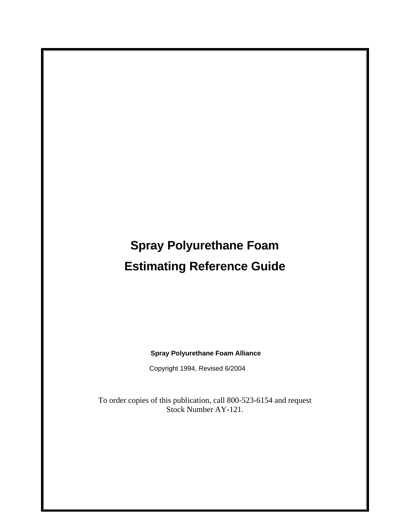# **Spray Polyurethane Foam Estimating Reference Guide**

**Spray Polyurethane Foam Alliance**

Copyright 1994, Revised 6/2004

To order copies of this publication, call 800-523-6154 and request Stock Number AY-121.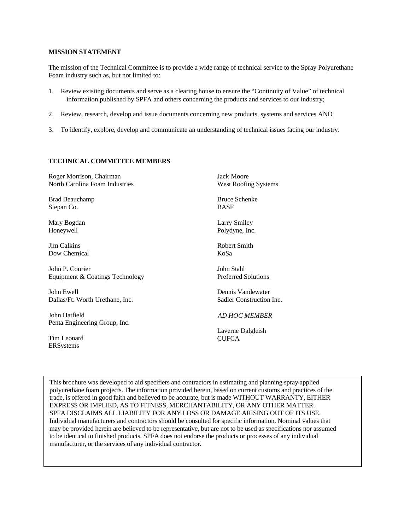#### **MISSION STATEMENT**

The mission of the Technical Committee is to provide a wide range of technical service to the Spray Polyurethane Foam industry such as, but not limited to:

- 1. Review existing documents and serve as a clearing house to ensure the "Continuity of Value" of technical information published by SPFA and others concerning the products and services to our industry;
- 2. Review, research, develop and issue documents concerning new products, systems and services AND
- 3. To identify, explore, develop and communicate an understanding of technical issues facing our industry.

#### **TECHNICAL COMMITTEE MEMBERS**

Roger Morrison, Chairman North Carolina Foam Industries Brad Beauchamp

Mary Bogdan

Stepan Co.

Honeywell Jim Calkins

Dow Chemical

John P. Courier Equipment & Coatings Technology

John Ewell Dallas/Ft. Worth Urethane, Inc.

John Hatfield Penta Engineering Group, Inc.

Tim Leonard ERSystems

Jack Moore West Roofing Systems

Bruce Schenke BASF

Larry Smiley Polydyne, Inc.

Robert Smith KoSa

John Stahl Preferred Solutions

Dennis Vandewater Sadler Construction Inc.

*AD HOC MEMBER*

Laverne Dalgleish **CUFCA** 

This brochure was developed to aid specifiers and contractors in estimating and planning spray-applied poIyurethane foam projects. The information provided herein, based on current customs and practices of the trade, is offered in good faith and believed to be accurate, but is made WITHOUT WARRANTY, EITHER EXPRESS OR IMPLIED, AS TO FITNESS, MERCHANTABILITY, OR ANY OTHER MATTER. SPFA DISCLAIMS ALL LIABILITY FOR ANY LOSS OR DAMAGE ARISING OUT OF ITS USE. Individual manufacturers and contractors should be consulted for specific information. Nominal values that may be provided herein are believed to be representative, but are not to be used as specifications nor assumed to be identical to finished products. SPFA does not endorse the products or processes of any individual manufacturer, or the services of any individual contractor.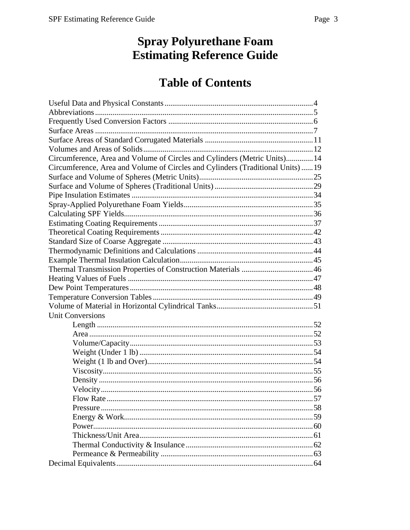## **Spray Polyurethane Foam Estimating Reference Guide**

## **Table of Contents**

| Circumference, Area and Volume of Circles and Cylinders (Metric Units) 14     |  |
|-------------------------------------------------------------------------------|--|
| Circumference, Area and Volume of Circles and Cylinders (Traditional Units)19 |  |
|                                                                               |  |
|                                                                               |  |
|                                                                               |  |
|                                                                               |  |
|                                                                               |  |
|                                                                               |  |
|                                                                               |  |
|                                                                               |  |
|                                                                               |  |
|                                                                               |  |
|                                                                               |  |
|                                                                               |  |
|                                                                               |  |
|                                                                               |  |
|                                                                               |  |
| <b>Unit Conversions</b>                                                       |  |
|                                                                               |  |
|                                                                               |  |
|                                                                               |  |
|                                                                               |  |
|                                                                               |  |
|                                                                               |  |
|                                                                               |  |
|                                                                               |  |
|                                                                               |  |
|                                                                               |  |
|                                                                               |  |
|                                                                               |  |
|                                                                               |  |
|                                                                               |  |
|                                                                               |  |
|                                                                               |  |
|                                                                               |  |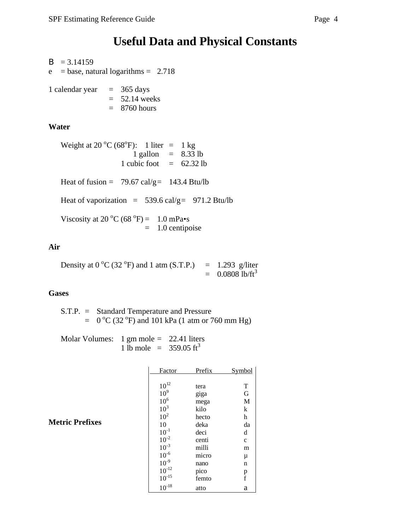## **Useful Data and Physical Constants**

<span id="page-3-0"></span> $B = 3.14159$  $e$  = base, natural logarithms = 2.718

1 calendar year  $= 365 \text{ days}$  $= 52.14$  weeks  $= 8760$  hours

#### **Water**

Weight at 20 °C (68°F): 1 liter = 1 kg  $1$  gallon =  $8.33$  lb 1 cubic foot  $= 62.32$  lb Heat of fusion =  $79.67 \text{ cal/g} = 143.4 \text{ Btu/lb}$ Heat of vaporization =  $539.6 \text{ cal/g} = 971.2 \text{ Btu/lb}$ Viscosity at 20  $^{\circ}$ C (68  $^{\circ}$ F) = 1.0 mPa•s = 1.0 centipoise

#### **Air**

Density at  $0^{\circ}C$  (32  $^{\circ}F$ ) and 1 atm (S.T.P.) = 1.293 g/liter  $= 0.0808$  lb/ft<sup>3</sup>

#### **Gases**

S.T.P. = Standard Temperature and Pressure  $= 0$  °C (32 °F) and 101 kPa (1 atm or 760 mm Hg)

Molar Volumes: 1 gm mole =  $22.41$  liters 1 lb mole =  $359.05 \text{ ft}^3$ 

| Factor                    | Prefix | <u>Symbol</u> |
|---------------------------|--------|---------------|
|                           |        |               |
| $\frac{10^{12}}{10^9}$    | tera   | T             |
|                           | giga   | G             |
| 10 <sup>6</sup>           | mega   | M             |
| 10 <sup>3</sup>           | kilo   | k             |
| 10 <sup>2</sup>           | hecto  | h             |
| 10                        | deka   | da            |
| $10^{-1}$                 | deci   | d             |
| $\frac{10^{-2}}{10^{-3}}$ | centi  | $\mathbf{C}$  |
|                           | milli  | m             |
| $\frac{10^{-6}}{10^{-9}}$ | micro  | μ             |
|                           | nano   | n             |
| $10^{-12}$                | pico   | p             |
| $10^{-15}$                | femto  | $\mathbf f$   |
| $10^{-18}$                | atto   | a             |

**Metric Prefixes**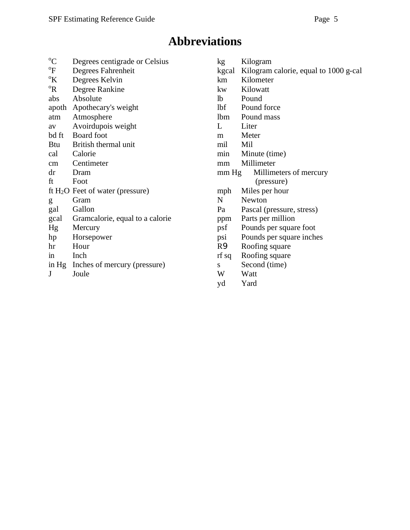## **Abbreviations**

<span id="page-4-0"></span>

| $^0C$                     | Degrees centigrade or Celsius      | kg              | Kilogram                                    |
|---------------------------|------------------------------------|-----------------|---------------------------------------------|
| $\mathrm{^{o}F}$          | Degrees Fahrenheit                 |                 | kgcal Kilogram calorie, equal to 1000 g-cal |
| $\rm ^{o}K$               | Degrees Kelvin                     | km              | Kilometer                                   |
| $\mathrm{P}^{\mathrm{o}}$ | Degree Rankine                     | kw              | Kilowatt                                    |
| abs                       | Absolute                           | lb              | Pound                                       |
| apoth                     | Apothecary's weight                | lbf             | Pound force                                 |
| atm                       | Atmosphere                         | lbm             | Pound mass                                  |
| av                        | Avoirdupois weight                 | L               | Liter                                       |
| bd ft                     | <b>Board</b> foot                  | m               | Meter                                       |
| <b>Btu</b>                | British thermal unit               | mil             | Mil                                         |
| cal                       | Calorie                            | min             | Minute (time)                               |
| cm                        | Centimeter                         | mm              | Millimeter                                  |
| dr                        | Dram                               | mm Hg           | Millimeters of mercury                      |
| ft                        | Foot                               |                 | (pressure)                                  |
|                           | ft $H_2O$ Feet of water (pressure) | mph             | Miles per hour                              |
| g                         | Gram                               | $\mathbf N$     | <b>Newton</b>                               |
| gal                       | Gallon                             | Pa              | Pascal (pressure, stress)                   |
| gcal                      | Gramcalorie, equal to a calorie    | ppm             | Parts per million                           |
| Hg                        | Mercury                            | psf             | Pounds per square foot                      |
| hp                        | Horsepower                         | psi             | Pounds per square inches                    |
| hr                        | Hour                               | R <sub>9</sub>  | Roofing square                              |
| in                        | Inch                               | $\mathbf{r}$ sq | Roofing square                              |
|                           | in Hg Inches of mercury (pressure) | S               | Second (time)                               |
| J                         | Joule                              | W               | Watt                                        |
|                           |                                    | yd              | Yard                                        |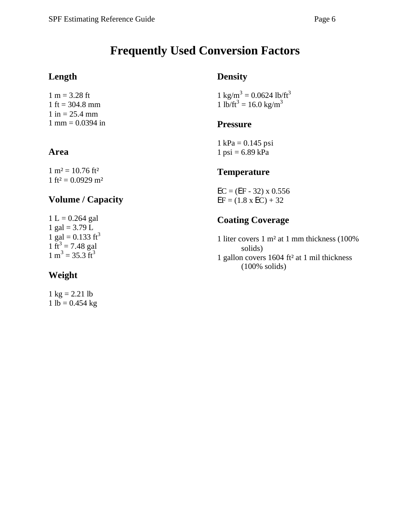## **Frequently Used Conversion Factors**

### <span id="page-5-0"></span>**Length**

 $1 m = 3.28 ft$ 1 ft =  $304.8$  mm  $1 in = 25.4 mm$ 1 mm =  $0.0394$  in

### **Area**

 $1 m<sup>2</sup> = 10.76 ft<sup>2</sup>$ 1 ft<sup>2</sup> =  $0.0929$  m<sup>2</sup>

#### **Volume / Capacity**

 $1 L = 0.264$  gal 1 gal =  $3.79$  L  $1$  gal = 0.133 ft<sup>3</sup>  $1 \text{ ft}^3 = 7.48 \text{ gal}$  $1 m<sup>3</sup> = 35.3 ft<sup>3</sup>$ 

#### **Weight**

 $1 \text{ kg} = 2.21 \text{ lb}$ 1 lb =  $0.454$  kg

#### **Density**

 $1 \text{ kg/m}^3 = 0.0624 \text{ lb/ft}^3$  $1 \text{ lb/ft}^3 = 16.0 \text{ kg/m}^3$ 

#### **Pressure**

1 kPa = 0.145 psi  $1 \text{ psi} = 6.89 \text{ kPa}$ 

#### **Temperature**

 $EC = (EF - 32) \times 0.556$  $EF = (1.8 \times EC) + 32$ 

#### **Coating Coverage**

1 liter covers 1 m² at 1 mm thickness (100% solids) 1 gallon covers 1604 ft² at 1 mil thickness (100% solids)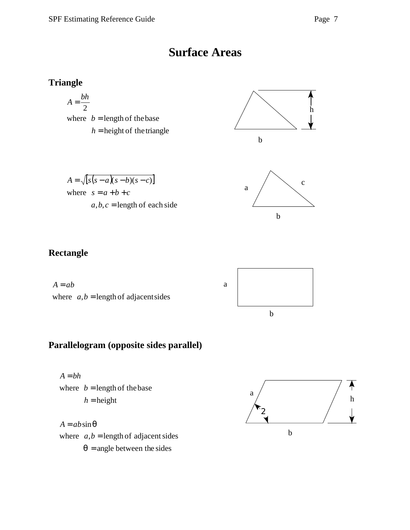<span id="page-6-0"></span>

$$
A = \frac{bh}{2}
$$
  
where  $b$  = length of the base  
 $h$  = height of the triangle

 $A = \sqrt{ [s(s-a)(s-b)(s-c)]}$ 

where  $s = a + b + c$ 

 $a, b, c$  = length of each side



b

 $\Gamma$ 

#### **Rectangle**

| $A = ab$                               |  |
|----------------------------------------|--|
|                                        |  |
| where $a,b =$ length of adjacent sides |  |

#### **Parallelogram (opposite sides parallel)**

 $h =$ height where  $b =$  length of the base  $A = bh$ 

 $q$  = angle between the sides where  $a, b$  = length of adjacent sides  $A = ab \sin q$ 



٦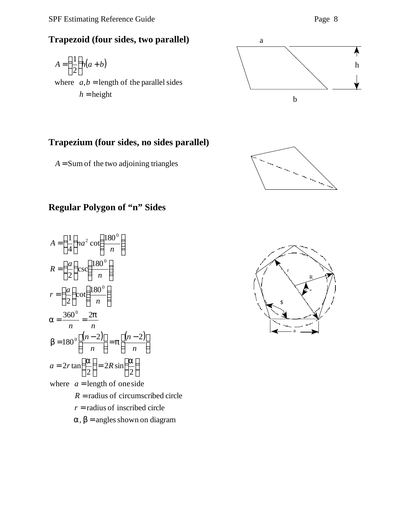#### **Trapezoid (four sides, two parallel)**

$$
A = \left(\frac{1}{2}\right) h(a+b)
$$

 $h =$ height where  $a, b$  = length of the parallel sides



### **Trapezium (four sides, no sides parallel)**

 $A =$ Sum of the two adjoining triangles



#### **Regular Polygon of "n" Sides**



where  $a =$  length of one side

 $R$  = radius of circumscribed circle

- $r =$  radius of inscribed circle
- $\mathbf{a}, \mathbf{b}$  = angles shown on diagram

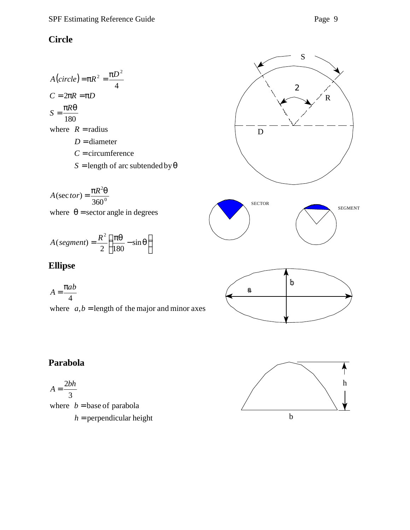$$
A(circle) = pR^2 = \frac{pD^2}{4}
$$
  
\n
$$
C = 2pR = pD
$$
  
\n
$$
S = \frac{pRq}{180}
$$
  
\nwhere  $R =$  radius  
\n $D =$  diameter  
\n $C =$  circumference  
\n $S =$  length of arc subtended by  $q$ 

$$
A(\sec tor) = \frac{pR^2q}{360^0}
$$
  
where  $q = \text{sector angle in degrees}$ 

$$
A(segment) = \frac{R^2}{2} \left( \frac{pq}{180} - \sin q \right)
$$

### **Ellipse**

$$
A=\frac{pab}{4}
$$

where  $a, b =$  length of the major and minor axes







### **Parabola**

$$
A = \frac{2bh}{3}
$$

where  $b = \text{base of parabola}$ 

 $h$  = perpendicular height

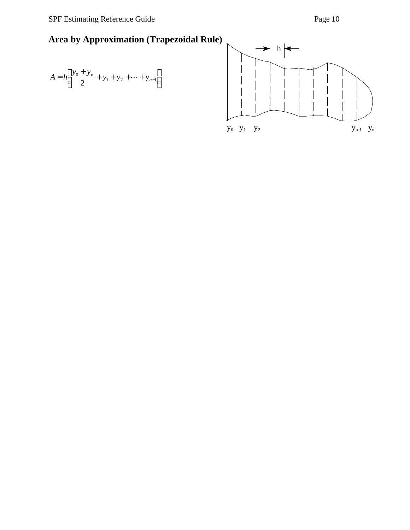### **Area by Approximation (Trapezoidal Rule)**



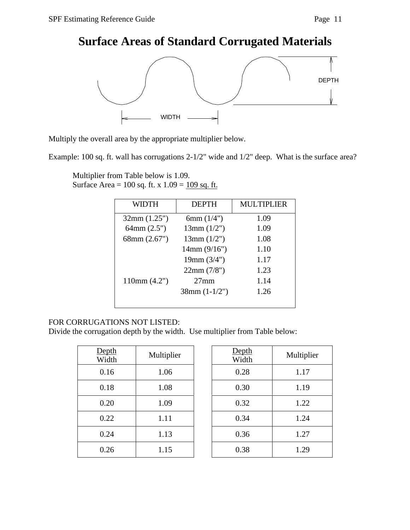## <span id="page-10-0"></span>**Surface Areas of Standard Corrugated Materials**



Multiply the overall area by the appropriate multiplier below.

Example: 100 sq. ft. wall has corrugations 2-1/2" wide and 1/2" deep. What is the surface area?

| <b>WIDTH</b> | <b>DEPTH</b>   | <b>MULTIPLIER</b> |
|--------------|----------------|-------------------|
| 32mm(1.25")  | 6mm $(1/4")$   | 1.09              |
| 64mm(2.5")   | 13mm (1/2")    | 1.09              |
| 68mm (2.67") | 13mm (1/2")    | 1.08              |
|              | 14mm (9/16")   | 1.10              |
|              | 19mm(3/4")     | 1.17              |
|              | 22mm (7/8")    | 1.23              |
| 110mm(4.2")  | $27 \text{mm}$ | 1.14              |
|              | $38mm(1-1/2")$ | 1.26              |
|              |                |                   |

Multiplier from Table below is 1.09. Surface Area =  $100$  sq. ft. x  $1.09 = 109$  sq. ft.

#### FOR CORRUGATIONS NOT LISTED:

Divide the corrugation depth by the width. Use multiplier from Table below:

| Depth<br>Width | Multiplier | Depth<br>Width |
|----------------|------------|----------------|
| 0.16           | 1.06       | 0.28           |
| 0.18           | 1.08       | 0.30           |
| 0.20           | 1.09       | 0.32           |
| 0.22           | 1.11       | 0.34           |
| 0.24           | 1.13       | 0.36           |
| 0.26           | 1.15       | 0.38           |

| <u>epth</u><br>Vidth | Multiplier | Depth<br>Width | Multiplier |
|----------------------|------------|----------------|------------|
| 0.16                 | 1.06       | 0.28           | 1.17       |
| 0.18                 | 1.08       | 0.30           | 1.19       |
| 0.20                 | 1.09       | 0.32           | 1.22       |
| 0.22                 | 1.11       | 0.34           | 1.24       |
| 0.24                 | 1.13       | 0.36           | 1.27       |
| 0.26                 | 1.15       | 0.38           | 1.29       |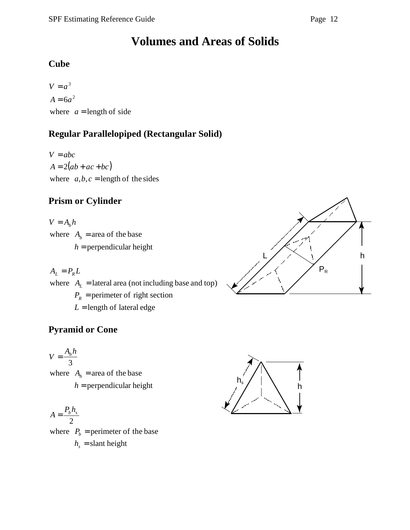## **Volumes and Areas of Solids**

### <span id="page-11-0"></span>**Cube**

where  $a =$  length of side  $A = 6a^2$  $V = a^3$ 

### **Regular Parallelopiped (Rectangular Solid)**

 $A = 2(ab + ac + bc)$ where  $a, b, c$  = length of the sides  $V = abc$ 

### **Prism or Cylinder**

 $h$  = perpendicular height where  $A_b$  = area of the base  $V = A_b h$ 

 $L =$  length of lateral edge  $P_R$  = perimeter of right section where  $A_L$  = lateral area (not including base and top)  $A_L = P_R L$ 

#### **Pyramid or Cone**

$$
V = \frac{A_b h}{3}
$$

 $h$  = perpendicular height where  $A_b$  = area of the base

$$
A = \frac{P_b h_s}{2}
$$

 $h<sub>s</sub>$  = slant height where  $P_b$  = perimeter of the base



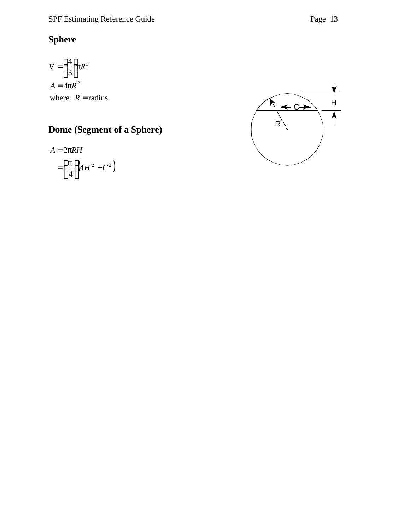### **Sphere**

$$
V = \left(\frac{4}{3}\right)R^3
$$
  
A = 4pR<sup>2</sup>  
where R = radius

### **Dome (Segment of a Sphere)**

$$
A = 2pRH
$$
  
=  $\left(\frac{p}{4}\right) (4H^2 + C^2)$ 

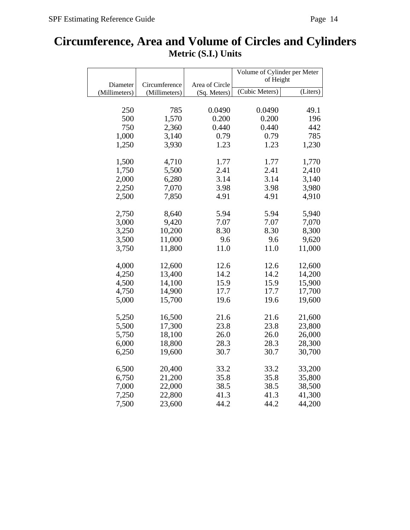<span id="page-13-0"></span>

|               |               |                | Volume of Cylinder per Meter |          |
|---------------|---------------|----------------|------------------------------|----------|
| Diameter      | Circumference | Area of Circle | of Height                    |          |
| (Millimeters) | (Millimeters) | (Sq. Meters)   | (Cubic Meters)               | (Liters) |
|               |               |                |                              |          |
| 250           | 785           | 0.0490         | 0.0490                       | 49.1     |
| 500           | 1,570         | 0.200          | 0.200                        | 196      |
| 750           | 2,360         | 0.440          | 0.440                        | 442      |
| 1,000         | 3,140         | 0.79           | 0.79                         | 785      |
| 1,250         | 3,930         | 1.23           | 1.23                         | 1,230    |
|               |               |                |                              |          |
| 1,500         | 4,710         | 1.77           | 1.77                         | 1,770    |
| 1,750         | 5,500         | 2.41           | 2.41                         | 2,410    |
| 2,000         | 6,280         | 3.14           | 3.14                         | 3,140    |
| 2,250         | 7,070         | 3.98           | 3.98                         | 3,980    |
| 2,500         | 7,850         | 4.91           | 4.91                         | 4,910    |
|               |               |                |                              |          |
| 2,750         | 8,640         | 5.94           | 5.94                         | 5,940    |
| 3,000         | 9,420         | 7.07           | 7.07                         | 7,070    |
| 3,250         | 10,200        | 8.30           | 8.30                         | 8,300    |
| 3,500         | 11,000        | 9.6            | 9.6                          | 9,620    |
| 3,750         | 11,800        | 11.0           | 11.0                         | 11,000   |
|               |               |                |                              |          |
| 4,000         | 12,600        | 12.6           | 12.6                         | 12,600   |
| 4,250         | 13,400        | 14.2           | 14.2                         | 14,200   |
| 4,500         | 14,100        | 15.9           | 15.9                         | 15,900   |
| 4,750         | 14,900        | 17.7           | 17.7                         | 17,700   |
| 5,000         | 15,700        | 19.6           | 19.6                         | 19,600   |
|               |               |                |                              |          |
| 5,250         | 16,500        | 21.6           | 21.6                         | 21,600   |
| 5,500         | 17,300        | 23.8           | 23.8                         | 23,800   |
| 5,750         | 18,100        | 26.0           | 26.0                         | 26,000   |
| 6,000         | 18,800        | 28.3           | 28.3                         | 28,300   |
| 6,250         | 19,600        | 30.7           | 30.7                         | 30,700   |
|               |               |                |                              |          |
| 6,500         | 20,400        | 33.2           | 33.2                         | 33,200   |
| 6,750         | 21,200        | 35.8           | 35.8                         | 35,800   |
| 7,000         | 22,000        | 38.5           | 38.5                         | 38,500   |
| 7,250         | 22,800        | 41.3           | 41.3                         | 41,300   |
| 7,500         | 23,600        | 44.2           | 44.2                         | 44,200   |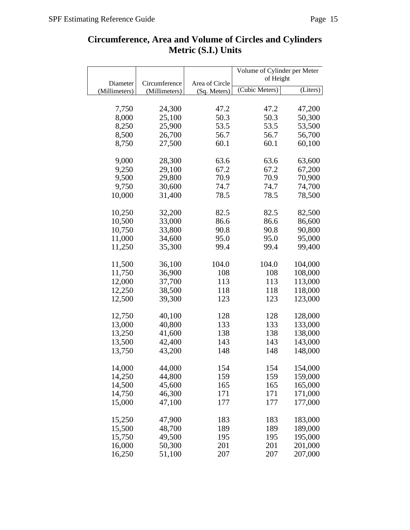|               |               |                | Volume of Cylinder per Meter |          |
|---------------|---------------|----------------|------------------------------|----------|
| Diameter      | Circumference | Area of Circle | of Height                    |          |
| (Millimeters) | (Millimeters) | (Sq. Meters)   | (Cubic Meters)               | (Liters) |
|               |               |                |                              |          |
| 7,750         | 24,300        | 47.2           | 47.2                         | 47,200   |
| 8,000         | 25,100        | 50.3           | 50.3                         | 50,300   |
| 8,250         | 25,900        | 53.5           | 53.5                         | 53,500   |
| 8,500         | 26,700        | 56.7           | 56.7                         | 56,700   |
| 8,750         | 27,500        | 60.1           | 60.1                         | 60,100   |
|               |               |                |                              |          |
| 9,000         | 28,300        | 63.6           | 63.6                         | 63,600   |
| 9,250         | 29,100        | 67.2           | 67.2                         | 67,200   |
| 9,500         | 29,800        | 70.9           | 70.9                         | 70,900   |
| 9,750         | 30,600        | 74.7           | 74.7                         | 74,700   |
| 10,000        | 31,400        | 78.5           | 78.5                         | 78,500   |
|               |               |                |                              |          |
| 10,250        | 32,200        | 82.5           | 82.5                         | 82,500   |
| 10,500        | 33,000        | 86.6           | 86.6                         | 86,600   |
| 10,750        | 33,800        | 90.8           | 90.8                         | 90,800   |
| 11,000        | 34,600        | 95.0           | 95.0                         | 95,000   |
| 11,250        | 35,300        | 99.4           | 99.4                         | 99,400   |
|               |               |                |                              |          |
| 11,500        | 36,100        | 104.0          | 104.0                        | 104,000  |
| 11,750        | 36,900        | 108            | 108                          | 108,000  |
| 12,000        | 37,700        | 113            | 113                          | 113,000  |
| 12,250        | 38,500        | 118            | 118                          | 118,000  |
| 12,500        | 39,300        | 123            | 123                          | 123,000  |
|               |               |                |                              |          |
| 12,750        | 40,100        | 128            | 128                          | 128,000  |
| 13,000        | 40,800        | 133            | 133                          | 133,000  |
| 13,250        | 41,600        | 138            | 138                          | 138,000  |
| 13,500        | 42,400        | 143            | 143                          | 143,000  |
| 13,750        | 43,200        | 148            | 148                          | 148,000  |
|               |               |                |                              |          |
| 14,000        | 44,000        | 154            | 154                          | 154,000  |
| 14,250        | 44,800        | 159            | 159                          | 159,000  |
| 14,500        | 45,600        | 165            | 165                          | 165,000  |
| 14,750        | 46,300        | 171            | 171                          | 171,000  |
| 15,000        | 47,100        | 177            | 177                          | 177,000  |
|               |               |                |                              |          |
| 15,250        | 47,900        | 183            | 183                          | 183,000  |
| 15,500        | 48,700        | 189            | 189                          | 189,000  |
| 15,750        | 49,500        | 195            | 195                          | 195,000  |
| 16,000        | 50,300        | 201            | 201                          | 201,000  |
| 16,250        | 51,100        | 207            | 207                          | 207,000  |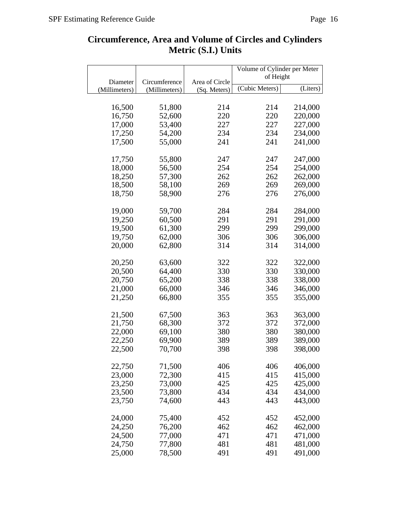|               |               |                | Volume of Cylinder per Meter |          |
|---------------|---------------|----------------|------------------------------|----------|
| Diameter      | Circumference | Area of Circle | of Height                    |          |
| (Millimeters) | (Millimeters) | (Sq. Meters)   | (Cubic Meters)               | (Liters) |
|               |               |                |                              |          |
| 16,500        | 51,800        | 214            | 214                          | 214,000  |
| 16,750        | 52,600        | 220            | 220                          | 220,000  |
| 17,000        | 53,400        | 227            | 227                          | 227,000  |
| 17,250        | 54,200        | 234            | 234                          | 234,000  |
| 17,500        | 55,000        | 241            | 241                          | 241,000  |
|               |               |                |                              |          |
| 17,750        | 55,800        | 247            | 247                          | 247,000  |
| 18,000        | 56,500        | 254            | 254                          | 254,000  |
| 18,250        | 57,300        | 262            | 262                          | 262,000  |
| 18,500        | 58,100        | 269            | 269                          | 269,000  |
| 18,750        | 58,900        | 276            | 276                          | 276,000  |
|               |               |                |                              |          |
| 19,000        | 59,700        | 284            | 284                          | 284,000  |
| 19,250        | 60,500        | 291            | 291                          | 291,000  |
| 19,500        | 61,300        | 299            | 299                          | 299,000  |
| 19,750        | 62,000        | 306            | 306                          | 306,000  |
| 20,000        | 62,800        | 314            | 314                          | 314,000  |
|               |               |                |                              |          |
| 20,250        | 63,600        | 322            | 322                          | 322,000  |
| 20,500        | 64,400        | 330            | 330                          | 330,000  |
| 20,750        | 65,200        | 338            | 338                          | 338,000  |
| 21,000        | 66,000        | 346            | 346                          | 346,000  |
| 21,250        | 66,800        | 355            | 355                          | 355,000  |
|               |               |                |                              |          |
| 21,500        | 67,500        | 363            | 363                          | 363,000  |
| 21,750        | 68,300        | 372            | 372                          | 372,000  |
| 22,000        | 69,100        | 380            | 380                          | 380,000  |
| 22,250        | 69,900        | 389            | 389                          | 389,000  |
| 22,500        | 70,700        | 398            | 398                          | 398,000  |
|               |               |                |                              |          |
| 22,750        | 71,500        | 406            | 406                          | 406,000  |
| 23,000        | 72,300        | 415            | 415                          | 415,000  |
| 23,250        | 73,000        | 425            | 425                          | 425,000  |
| 23,500        | 73,800        | 434            | 434                          | 434,000  |
| 23,750        | 74,600        | 443            | 443                          | 443,000  |
|               |               |                |                              |          |
| 24,000        | 75,400        | 452            | 452                          | 452,000  |
| 24,250        | 76,200        | 462            | 462                          | 462,000  |
| 24,500        | 77,000        | 471            | 471                          | 471,000  |
| 24,750        | 77,800        | 481            | 481                          | 481,000  |
| 25,000        | 78,500        | 491            | 491                          | 491,000  |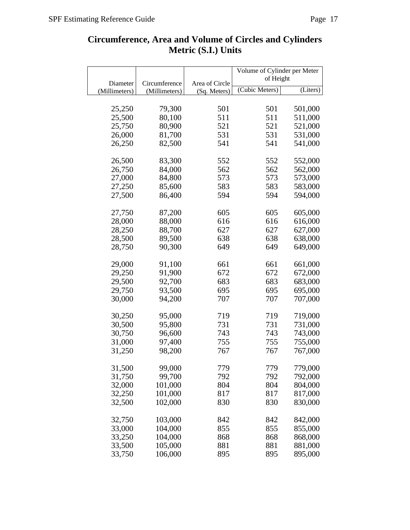|               |                    |                | Volume of Cylinder per Meter<br>of Height |          |
|---------------|--------------------|----------------|-------------------------------------------|----------|
| Diameter      | Circumference      | Area of Circle |                                           |          |
| (Millimeters) | (Millimeters)      | (Sq. Meters)   | (Cubic Meters)                            | (Liters) |
|               |                    |                |                                           |          |
| 25,250        | 79,300             | 501            | 501                                       | 501,000  |
| 25,500        | 80,100             | 511            | 511                                       | 511,000  |
| 25,750        | 80,900             | 521            | 521                                       | 521,000  |
| 26,000        | 81,700             | 531            | 531                                       | 531,000  |
| 26,250        | 82,500             | 541            | 541                                       | 541,000  |
|               |                    |                |                                           |          |
| 26,500        | 83,300             | 552            | 552                                       | 552,000  |
| 26,750        | 84,000             | 562            | 562                                       | 562,000  |
| 27,000        | 84,800             | 573            | 573                                       | 573,000  |
|               |                    | 583            |                                           |          |
| 27,250        | 85,600             |                | 583                                       | 583,000  |
| 27,500        | 86,400             | 594            | 594                                       | 594,000  |
|               |                    |                |                                           |          |
| 27,750        | 87,200             | 605            | 605                                       | 605,000  |
| 28,000        | 88,000             | 616            | 616                                       | 616,000  |
| 28,250        | 88,700             | 627            | 627                                       | 627,000  |
| 28,500        | 89,500             | 638            | 638                                       | 638,000  |
| 28,750        | 90,300             | 649            | 649                                       | 649,000  |
|               |                    |                |                                           |          |
| 29,000        | 91,100             | 661            | 661                                       | 661,000  |
| 29,250        | 91,900             | 672            | 672                                       | 672,000  |
| 29,500        | 92,700             | 683            | 683                                       | 683,000  |
| 29,750        | 93,500             | 695            | 695                                       | 695,000  |
| 30,000        | 94,200             | 707            | 707                                       | 707,000  |
|               |                    |                |                                           |          |
| 30,250        | 95,000             | 719            | 719                                       | 719,000  |
| 30,500        | 95,800             | 731            | 731                                       | 731,000  |
| 30,750        | 96,600             | 743            | 743                                       | 743,000  |
| 31,000        | 97,400             | 755            | 755                                       | 755,000  |
| 31,250        | 98,200             | 767            | 767                                       | 767,000  |
|               |                    |                |                                           |          |
| 31,500        | 99,000             | 779            | 779                                       | 779,000  |
| 31,750        | 99,700             | 792            | 792                                       | 792,000  |
| 32,000        | 101,000            | 804            | 804                                       | 804,000  |
| 32,250        | 101,000            | 817            | 817                                       | 817,000  |
| 32,500        | 102,000            | 830            | 830                                       | 830,000  |
|               |                    |                |                                           |          |
|               |                    | 842            | 842                                       |          |
| 32,750        | 103,000<br>104,000 |                |                                           | 842,000  |
| 33,000        |                    | 855            | 855                                       | 855,000  |
| 33,250        | 104,000            | 868            | 868                                       | 868,000  |
| 33,500        | 105,000            | 881            | 881                                       | 881,000  |
| 33,750        | 106,000            | 895            | 895                                       | 895,000  |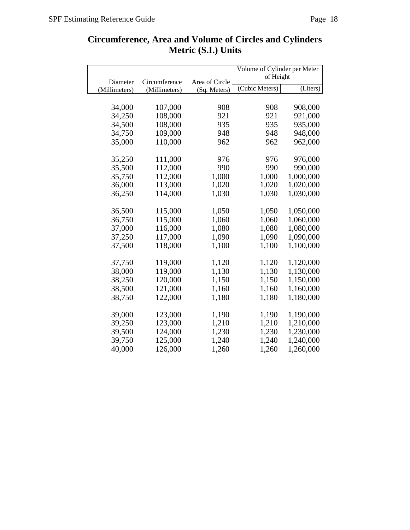|               |               |                | Volume of Cylinder per Meter |           |
|---------------|---------------|----------------|------------------------------|-----------|
| Diameter      | Circumference | Area of Circle | of Height                    |           |
| (Millimeters) | (Millimeters) | (Sq. Meters)   | (Cubic Meters)               | (Liters)  |
|               |               |                |                              |           |
| 34,000        | 107,000       | 908            | 908                          | 908,000   |
| 34,250        | 108,000       | 921            | 921                          | 921,000   |
| 34,500        | 108,000       | 935            | 935                          | 935,000   |
| 34,750        | 109,000       | 948            | 948                          | 948,000   |
| 35,000        | 110,000       | 962            | 962                          | 962,000   |
|               |               |                |                              |           |
| 35,250        | 111,000       | 976            | 976                          | 976,000   |
| 35,500        | 112,000       | 990            | 990                          | 990,000   |
| 35,750        | 112,000       | 1,000          | 1,000                        | 1,000,000 |
| 36,000        | 113,000       | 1,020          | 1,020                        | 1,020,000 |
| 36,250        | 114,000       | 1,030          | 1,030                        | 1,030,000 |
|               |               |                |                              |           |
| 36,500        | 115,000       | 1,050          | 1,050                        | 1,050,000 |
| 36,750        | 115,000       | 1,060          | 1,060                        | 1,060,000 |
| 37,000        | 116,000       | 1,080          | 1,080                        | 1,080,000 |
| 37,250        | 117,000       | 1,090          | 1,090                        | 1,090,000 |
| 37,500        | 118,000       | 1,100          | 1,100                        | 1,100,000 |
|               |               |                |                              |           |
| 37,750        | 119,000       | 1,120          | 1,120                        | 1,120,000 |
| 38,000        | 119,000       | 1,130          | 1,130                        | 1,130,000 |
| 38,250        | 120,000       | 1,150          | 1,150                        | 1,150,000 |
| 38,500        | 121,000       | 1,160          | 1,160                        | 1,160,000 |
| 38,750        | 122,000       | 1,180          | 1,180                        | 1,180,000 |
|               |               |                |                              |           |
| 39,000        | 123,000       | 1,190          | 1,190                        | 1,190,000 |
| 39,250        | 123,000       | 1,210          | 1,210                        | 1,210,000 |
| 39,500        | 124,000       | 1,230          | 1,230                        | 1,230,000 |
| 39,750        | 125,000       | 1,240          | 1,240                        | 1,240,000 |
| 40,000        | 126,000       | 1,260          | 1,260                        | 1,260,000 |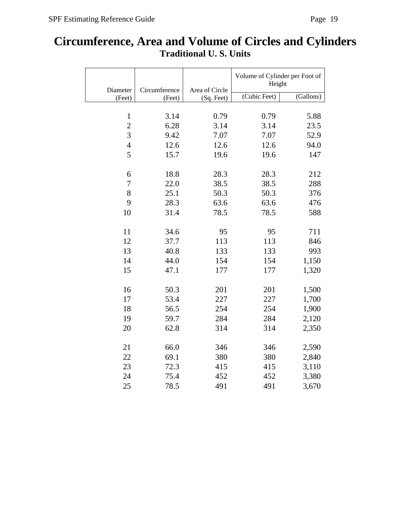<span id="page-18-0"></span>

|                |               |                | Volume of Cylinder per Foot of<br>Height |           |
|----------------|---------------|----------------|------------------------------------------|-----------|
| Diameter       | Circumference | Area of Circle | (Cubic Feet)                             | (Gallons) |
| (Feet)         | (Feet)        | (Sq. Feet)     |                                          |           |
|                |               |                |                                          |           |
| $\mathbf{1}$   | 3.14          | 0.79           | 0.79                                     | 5.88      |
| $\overline{c}$ | 6.28          | 3.14           | 3.14                                     | 23.5      |
| 3              | 9.42          | 7.07           | 7.07                                     | 52.9      |
| $\overline{4}$ | 12.6          | 12.6           | 12.6                                     | 94.0      |
| $\overline{5}$ | 15.7          | 19.6           | 19.6                                     | 147       |
|                |               |                |                                          |           |
| 6              | 18.8          | 28.3           | 28.3                                     | 212       |
| $\overline{7}$ | 22.0          | 38.5           | 38.5                                     | 288       |
| 8              | 25.1          | 50.3           | 50.3                                     | 376       |
| 9              | 28.3          | 63.6           | 63.6                                     | 476       |
| 10             | 31.4          | 78.5           | 78.5                                     | 588       |
|                |               |                |                                          |           |
| 11             | 34.6          | 95             | 95                                       | 711       |
| 12             | 37.7          | 113            | 113                                      | 846       |
| 13             | 40.8          | 133            | 133                                      | 993       |
| 14             | 44.0          | 154            | 154                                      | 1,150     |
| 15             | 47.1          | 177            | 177                                      | 1,320     |
|                |               |                |                                          |           |
| 16             | 50.3          | 201            | 201                                      | 1,500     |
| 17             | 53.4          | 227            | 227                                      | 1,700     |
| 18             | 56.5          | 254            | 254                                      | 1,900     |
| 19             | 59.7          | 284            | 284                                      | 2,120     |
| 20             | 62.8          | 314            | 314                                      | 2,350     |
|                |               |                |                                          |           |
| 21             | 66.0          | 346            | 346                                      | 2,590     |
| 22             | 69.1          | 380            | 380                                      | 2,840     |
| 23             | 72.3          | 415            | 415                                      |           |
| 24             |               | 452            | 452                                      | 3,110     |
|                | 75.4          |                |                                          | 3,380     |
| 25             | 78.5          | 491            | 491                                      | 3,670     |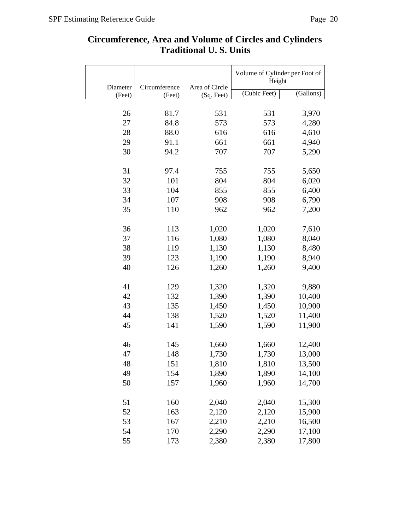|          |        |               |                | Volume of Cylinder per Foot of<br>Height |           |
|----------|--------|---------------|----------------|------------------------------------------|-----------|
| Diameter |        | Circumference | Area of Circle | (Cubic Feet)                             | (Gallons) |
|          | (Feet) | (Feet)        | (Sq. Feet)     |                                          |           |
|          | 26     | 81.7          | 531            | 531                                      | 3,970     |
|          | 27     | 84.8          | 573            | 573                                      | 4,280     |
|          | 28     | 88.0          | 616            | 616                                      | 4,610     |
|          | 29     | 91.1          | 661            | 661                                      | 4,940     |
|          | 30     | 94.2          | 707            | 707                                      | 5,290     |
|          |        |               |                |                                          |           |
|          | 31     | 97.4          | 755            | 755                                      | 5,650     |
|          | 32     | 101           | 804            | 804                                      | 6,020     |
|          | 33     | 104           | 855            | 855                                      | 6,400     |
|          | 34     | 107           | 908            | 908                                      | 6,790     |
|          | 35     | 110           | 962            | 962                                      | 7,200     |
|          |        |               |                |                                          |           |
|          | 36     | 113           | 1,020          | 1,020                                    | 7,610     |
|          | 37     | 116           | 1,080          | 1,080                                    | 8,040     |
|          | 38     | 119           | 1,130          | 1,130                                    | 8,480     |
|          | 39     | 123           | 1,190          | 1,190                                    | 8,940     |
|          | 40     | 126           | 1,260          | 1,260                                    | 9,400     |
|          |        |               |                |                                          |           |
|          | 41     | 129           | 1,320          | 1,320                                    | 9,880     |
|          | 42     | 132           | 1,390          | 1,390                                    | 10,400    |
|          | 43     | 135           | 1,450          | 1,450                                    | 10,900    |
|          | 44     | 138           | 1,520          | 1,520                                    | 11,400    |
|          | 45     | 141           | 1,590          | 1,590                                    | 11,900    |
|          |        |               |                |                                          |           |
|          | 46     | 145           | 1,660          | 1,660                                    | 12,400    |
|          | 47     | 148           | 1,730          | 1,730                                    | 13,000    |
|          | 48     | 151           | 1,810          | 1,810                                    | 13,500    |
|          | 49     | 154           | 1,890          | 1,890                                    | 14,100    |
|          | 50     | 157           | 1,960          | 1,960                                    | 14,700    |
|          |        |               |                |                                          |           |
|          | 51     | 160           | 2,040          | 2,040                                    | 15,300    |
|          | 52     | 163           | 2,120          | 2,120                                    | 15,900    |
|          | 53     | 167           | 2,210          | 2,210                                    | 16,500    |
|          | 54     | 170           | 2,290          | 2,290                                    | 17,100    |
|          | 55     | 173           | 2,380          | 2,380                                    | 17,800    |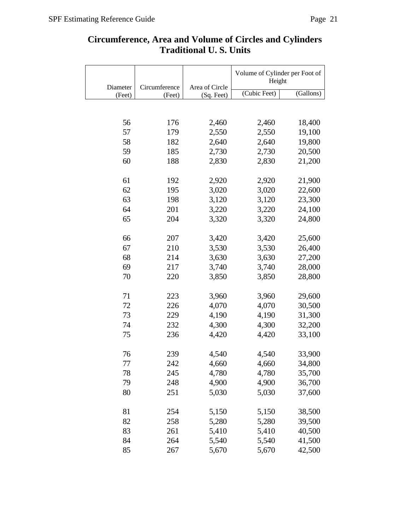|                    |                         |                              | Volume of Cylinder per Foot of<br>Height |           |
|--------------------|-------------------------|------------------------------|------------------------------------------|-----------|
| Diameter<br>(Feet) | Circumference<br>(Feet) | Area of Circle<br>(Sq. Feet) | (Cubic Feet)                             | (Gallons) |
|                    |                         |                              |                                          |           |
|                    |                         |                              |                                          |           |
| 56                 | 176                     | 2,460                        | 2,460                                    | 18,400    |
| 57                 | 179                     | 2,550                        | 2,550                                    | 19,100    |
| 58                 | 182                     | 2,640                        | 2,640                                    | 19,800    |
| 59                 | 185                     | 2,730                        | 2,730                                    | 20,500    |
| 60                 | 188                     | 2,830                        | 2,830                                    | 21,200    |
|                    |                         |                              |                                          |           |
| 61                 | 192                     | 2,920                        | 2,920                                    | 21,900    |
| 62                 | 195                     | 3,020                        | 3,020                                    | 22,600    |
| 63                 | 198                     | 3,120                        | 3,120                                    | 23,300    |
| 64                 | 201                     | 3,220                        | 3,220                                    | 24,100    |
| 65                 | 204                     | 3,320                        | 3,320                                    | 24,800    |
|                    |                         |                              |                                          |           |
| 66                 | 207                     | 3,420                        | 3,420                                    | 25,600    |
| 67                 | 210                     | 3,530                        | 3,530                                    | 26,400    |
| 68                 | 214                     | 3,630                        | 3,630                                    | 27,200    |
| 69                 | 217                     | 3,740                        | 3,740                                    | 28,000    |
| 70                 | 220                     | 3,850                        | 3,850                                    | 28,800    |
|                    |                         |                              |                                          |           |
| 71                 | 223                     | 3,960                        | 3,960                                    | 29,600    |
| 72                 | 226                     | 4,070                        | 4,070                                    | 30,500    |
| 73                 | 229                     | 4,190                        | 4,190                                    | 31,300    |
| 74                 | 232                     | 4,300                        | 4,300                                    | 32,200    |
| 75                 | 236                     | 4,420                        | 4,420                                    | 33,100    |
|                    |                         |                              |                                          |           |
| 76                 | 239                     | 4,540                        | 4,540                                    | 33,900    |
| 77                 | 242                     | 4,660                        | 4,660                                    | 34,800    |
| 78                 | 245                     | 4,780                        | 4,780                                    | 35,700    |
| 79                 | 248                     | 4,900                        | 4,900                                    | 36,700    |
| 80                 | 251                     | 5,030                        | 5,030                                    | 37,600    |
|                    |                         |                              |                                          |           |
| 81                 | 254                     | 5,150                        | 5,150                                    | 38,500    |
| 82                 | 258                     | 5,280                        | 5,280                                    | 39,500    |
| 83                 | 261                     | 5,410                        | 5,410                                    | 40,500    |
| 84                 | 264                     | 5,540                        | 5,540                                    | 41,500    |
| 85                 | 267                     | 5,670                        | 5,670                                    | 42,500    |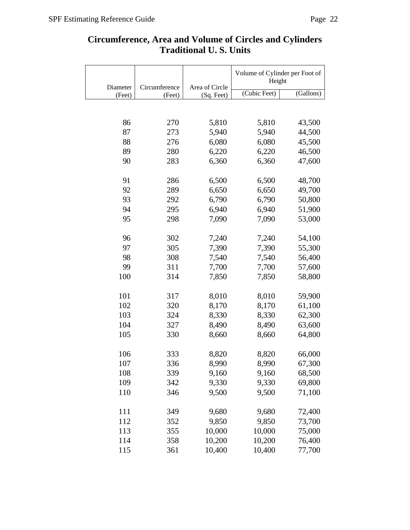|                    |                         |                | Volume of Cylinder per Foot of<br>Height |           |
|--------------------|-------------------------|----------------|------------------------------------------|-----------|
| Diameter<br>(Feet) | Circumference<br>(Feet) | Area of Circle | (Cubic Feet)                             | (Gallons) |
|                    |                         | (Sq. Feet)     |                                          |           |
|                    |                         |                |                                          |           |
| 86                 | 270                     | 5,810          | 5,810                                    | 43,500    |
| 87                 | 273                     | 5,940          | 5,940                                    | 44,500    |
| 88                 | 276                     | 6,080          | 6,080                                    | 45,500    |
| 89                 | 280                     | 6,220          | 6,220                                    | 46,500    |
| 90                 | 283                     | 6,360          | 6,360                                    | 47,600    |
|                    |                         |                |                                          |           |
| 91                 | 286                     | 6,500          | 6,500                                    | 48,700    |
| 92                 | 289                     | 6,650          | 6,650                                    | 49,700    |
| 93                 | 292                     | 6,790          | 6,790                                    | 50,800    |
| 94                 | 295                     | 6,940          | 6,940                                    | 51,900    |
| 95                 | 298                     | 7,090          | 7,090                                    | 53,000    |
|                    |                         |                |                                          |           |
| 96                 | 302                     | 7,240          | 7,240                                    | 54,100    |
| 97                 | 305                     | 7,390          | 7,390                                    | 55,300    |
| 98                 | 308                     | 7,540          | 7,540                                    | 56,400    |
| 99                 | 311                     | 7,700          | 7,700                                    | 57,600    |
| 100                | 314                     | 7,850          | 7,850                                    | 58,800    |
| 101                | 317                     | 8,010          | 8,010                                    | 59,900    |
| 102                | 320                     | 8,170          | 8,170                                    | 61,100    |
| 103                | 324                     | 8,330          | 8,330                                    | 62,300    |
| 104                | 327                     | 8,490          | 8,490                                    | 63,600    |
| 105                | 330                     | 8,660          | 8,660                                    | 64,800    |
|                    |                         |                |                                          |           |
| 106                | 333                     | 8,820          | 8,820                                    | 66,000    |
| 107                | 336                     | 8,990          | 8,990                                    | 67,300    |
| 108                | 339                     | 9,160          | 9,160                                    | 68,500    |
| 109                | 342                     | 9,330          | 9,330                                    | 69,800    |
| 110                | 346                     | 9,500          | 9,500                                    | 71,100    |
|                    |                         |                |                                          |           |
| 111                | 349                     | 9,680          | 9,680                                    | 72,400    |
| 112                | 352                     | 9,850          | 9,850                                    | 73,700    |
| 113                | 355                     | 10,000         | 10,000                                   | 75,000    |
| 114                | 358                     | 10,200         | 10,200                                   | 76,400    |
| 115                | 361                     | 10,400         | 10,400                                   | 77,700    |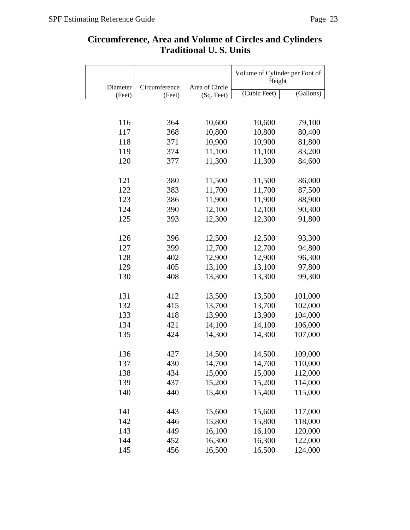|                    |                         |                              | Volume of Cylinder per Foot of<br>Height |                    |
|--------------------|-------------------------|------------------------------|------------------------------------------|--------------------|
| Diameter<br>(Feet) | Circumference<br>(Feet) | Area of Circle<br>(Sq. Feet) | (Cubic Feet)                             | (Gallons)          |
|                    |                         |                              |                                          |                    |
|                    |                         |                              |                                          |                    |
| 116                | 364                     | 10,600                       | 10,600                                   | 79,100             |
| 117                | 368                     | 10,800                       | 10,800                                   | 80,400             |
| 118                | 371                     | 10,900                       | 10,900                                   | 81,800             |
| 119                | 374                     | 11,100                       | 11,100                                   | 83,200             |
| 120                | 377                     | 11,300                       | 11,300                                   | 84,600             |
|                    |                         |                              |                                          |                    |
| 121                | 380                     | 11,500                       | 11,500                                   | 86,000             |
| 122                | 383                     | 11,700                       | 11,700                                   | 87,500             |
| 123                | 386                     | 11,900                       | 11,900                                   | 88,900             |
| 124                | 390                     | 12,100                       | 12,100                                   | 90,300             |
| 125                | 393                     | 12,300                       | 12,300                                   | 91,800             |
|                    |                         |                              |                                          |                    |
| 126                | 396                     | 12,500                       | 12,500                                   | 93,300             |
| 127                | 399                     | 12,700                       | 12,700                                   | 94,800             |
| 128                | 402                     | 12,900                       | 12,900                                   | 96,300             |
| 129                | 405                     | 13,100                       | 13,100                                   | 97,800             |
| 130                | 408                     | 13,300                       | 13,300                                   | 99,300             |
|                    |                         |                              |                                          |                    |
| 131                | 412                     | 13,500                       | 13,500                                   | 101,000            |
| 132                | 415                     | 13,700                       | 13,700                                   | 102,000            |
| 133                | 418                     | 13,900                       | 13,900                                   | 104,000            |
| 134                | 421                     | 14,100                       | 14,100                                   | 106,000            |
| 135                | 424                     | 14,300                       | 14,300                                   | 107,000            |
|                    |                         |                              |                                          |                    |
| 136                | 427                     | 14,500                       | 14,500                                   | 109,000            |
| 137                | 430                     | 14,700                       | 14,700                                   | 110,000            |
| 138                | 434                     | 15,000                       | 15,000                                   | 112,000            |
| 139                | 437                     | 15,200                       | 15,200                                   | 114,000            |
| 140                | 440                     | 15,400                       | 15,400                                   | 115,000            |
| 141                | 443                     |                              |                                          |                    |
| 142                | 446                     | 15,600<br>15,800             | 15,600<br>15,800                         | 117,000<br>118,000 |
| 143                | 449                     |                              | 16,100                                   | 120,000            |
| 144                | 452                     | 16,100<br>16,300             | 16,300                                   | 122,000            |
| 145                | 456                     | 16,500                       | 16,500                                   | 124,000            |
|                    |                         |                              |                                          |                    |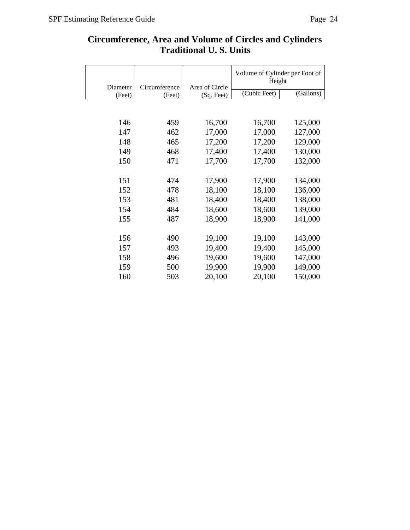| Diameter | Circumference | Area of Circle | Volume of Cylinder per Foot of<br>Height |           |
|----------|---------------|----------------|------------------------------------------|-----------|
| (Feet)   | (Feet)        | (Sq. Feet)     | (Cubic Feet)                             | (Gallons) |
|          |               |                |                                          |           |
| 146      | 459           | 16,700         | 16,700                                   | 125,000   |
| 147      | 462           | 17,000         | 17,000                                   | 127,000   |
| 148      | 465           | 17,200         | 17,200                                   | 129,000   |
| 149      | 468           | 17,400         | 17,400                                   | 130,000   |
| 150      | 471           | 17,700         | 17,700                                   | 132,000   |
|          |               |                |                                          |           |
| 151      | 474           | 17,900         | 17,900                                   | 134,000   |
| 152      | 478           | 18,100         | 18,100                                   | 136,000   |
| 153      | 481           | 18,400         | 18,400                                   | 138,000   |
| 154      | 484           | 18,600         | 18,600                                   | 139,000   |
| 155      | 487           | 18,900         | 18,900                                   | 141,000   |
|          |               |                |                                          |           |
| 156      | 490           | 19,100         | 19,100                                   | 143,000   |
| 157      | 493           | 19,400         | 19,400                                   | 145,000   |
| 158      | 496           | 19,600         | 19,600                                   | 147,000   |
| 159      | 500           | 19,900         | 19,900                                   | 149,000   |
| 160      | 503           | 20,100         | 20,100                                   | 150,000   |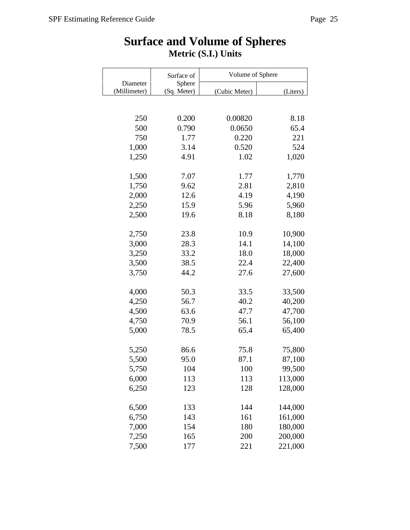<span id="page-24-0"></span>

|                          | Surface of            | Volume of Sphere |          |
|--------------------------|-----------------------|------------------|----------|
| Diameter<br>(Millimeter) | Sphere<br>(Sq. Meter) | (Cubic Meter)    | (Liters) |
|                          |                       |                  |          |
| 250                      | 0.200                 | 0.00820          | 8.18     |
| 500                      | 0.790                 | 0.0650           | 65.4     |
| 750                      | 1.77                  | 0.220            | 221      |
| 1,000                    | 3.14                  | 0.520            | 524      |
| 1,250                    | 4.91                  | 1.02             | 1,020    |
|                          |                       |                  |          |
| 1,500                    | 7.07                  | 1.77             | 1,770    |
| 1,750                    | 9.62                  | 2.81             | 2,810    |
| 2,000                    | 12.6                  | 4.19             | 4,190    |
| 2,250                    | 15.9                  | 5.96             | 5,960    |
| 2,500                    | 19.6                  | 8.18             | 8,180    |
|                          |                       |                  |          |
| 2,750                    | 23.8                  | 10.9             | 10,900   |
| 3,000                    | 28.3                  | 14.1             | 14,100   |
| 3,250                    | 33.2                  | 18.0             | 18,000   |
| 3,500                    | 38.5                  | 22.4             | 22,400   |
| 3,750                    | 44.2                  | 27.6             | 27,600   |
|                          |                       |                  |          |
| 4,000                    | 50.3                  | 33.5             | 33,500   |
| 4,250                    | 56.7                  | 40.2             | 40,200   |
| 4,500                    | 63.6                  | 47.7             | 47,700   |
| 4,750                    | 70.9                  | 56.1             | 56,100   |
| 5,000                    | 78.5                  | 65.4             | 65,400   |
|                          |                       |                  |          |
| 5,250                    | 86.6                  | 75.8             | 75,800   |
| 5,500                    | 95.0                  | 87.1             | 87,100   |
| 5,750                    | 104                   | 100              | 99,500   |
| 6,000                    | 113                   | 113              | 113,000  |
| 6,250                    | 123                   | 128              | 128,000  |
| 6,500                    | 133                   | 144              | 144,000  |
| 6,750                    | 143                   | 161              | 161,000  |
| 7,000                    | 154                   | 180              | 180,000  |
| 7,250                    | 165                   | 200              | 200,000  |
| 7,500                    | 177                   | 221              | 221,000  |
|                          |                       |                  |          |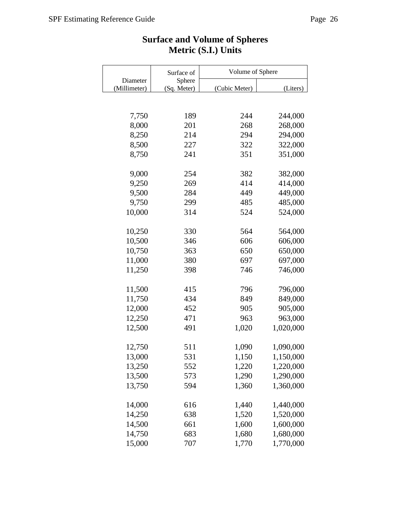|                          | Surface of            | Volume of Sphere |           |
|--------------------------|-----------------------|------------------|-----------|
| Diameter<br>(Millimeter) | Sphere<br>(Sq. Meter) | (Cubic Meter)    | (Liters)  |
|                          |                       |                  |           |
| 7,750                    | 189                   | 244              | 244,000   |
| 8,000                    | 201                   | 268              | 268,000   |
| 8,250                    | 214                   | 294              | 294,000   |
| 8,500                    | 227                   | 322              | 322,000   |
| 8,750                    | 241                   | 351              | 351,000   |
|                          |                       |                  |           |
| 9,000                    | 254                   | 382              | 382,000   |
| 9,250                    | 269                   | 414              | 414,000   |
| 9,500                    | 284                   | 449              | 449,000   |
| 9,750                    | 299                   | 485              | 485,000   |
| 10,000                   | 314                   | 524              | 524,000   |
|                          |                       |                  |           |
| 10,250                   | 330                   | 564              | 564,000   |
| 10,500                   | 346                   | 606              | 606,000   |
| 10,750                   | 363                   | 650              | 650,000   |
| 11,000                   | 380                   | 697              | 697,000   |
| 11,250                   | 398                   | 746              | 746,000   |
| 11,500                   | 415                   | 796              | 796,000   |
| 11,750                   | 434                   | 849              | 849,000   |
| 12,000                   | 452                   | 905              | 905,000   |
| 12,250                   | 471                   | 963              | 963,000   |
| 12,500                   | 491                   | 1,020            | 1,020,000 |
|                          |                       |                  |           |
| 12,750                   | 511                   | 1,090            | 1,090,000 |
| 13,000                   | 531                   | 1,150            | 1,150,000 |
| 13,250                   | 552                   | 1,220            | 1,220,000 |
| 13,500                   | 573                   | 1,290            | 1,290,000 |
| 13,750                   | 594                   | 1,360            | 1,360,000 |
|                          |                       |                  |           |
| 14,000                   | 616                   | 1,440            | 1,440,000 |
| 14,250                   | 638                   | 1,520            | 1,520,000 |
| 14,500                   | 661                   | 1,600            | 1,600,000 |
| 14,750                   | 683                   | 1,680            | 1,680,000 |
| 15,000                   | 707                   | 1,770            | 1,770,000 |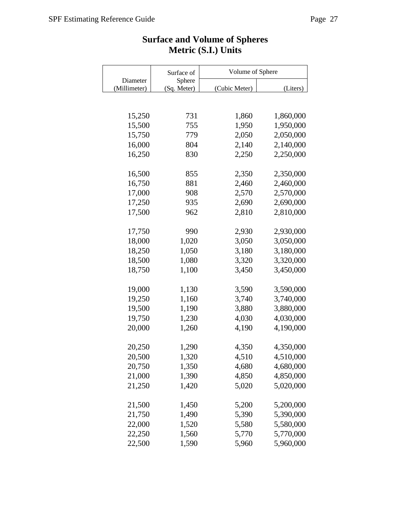|                          | Surface of            | Volume of Sphere |           |
|--------------------------|-----------------------|------------------|-----------|
| Diameter<br>(Millimeter) | Sphere<br>(Sq. Meter) | (Cubic Meter)    | (Liters)  |
|                          |                       |                  |           |
| 15,250                   | 731                   | 1,860            | 1,860,000 |
| 15,500                   | 755                   | 1,950            | 1,950,000 |
| 15,750                   | 779                   | 2,050            | 2,050,000 |
|                          |                       |                  | 2,140,000 |
| 16,000                   | 804                   | 2,140            |           |
| 16,250                   | 830                   | 2,250            | 2,250,000 |
| 16,500                   | 855                   | 2,350            | 2,350,000 |
| 16,750                   | 881                   | 2,460            | 2,460,000 |
| 17,000                   | 908                   | 2,570            | 2,570,000 |
| 17,250                   | 935                   | 2,690            | 2,690,000 |
| 17,500                   | 962                   | 2,810            | 2,810,000 |
|                          |                       |                  |           |
| 17,750                   | 990                   | 2,930            | 2,930,000 |
| 18,000                   | 1,020                 | 3,050            | 3,050,000 |
| 18,250                   | 1,050                 | 3,180            | 3,180,000 |
| 18,500                   | 1,080                 | 3,320            | 3,320,000 |
| 18,750                   | 1,100                 | 3,450            | 3,450,000 |
| 19,000                   | 1,130                 | 3,590            | 3,590,000 |
| 19,250                   | 1,160                 | 3,740            | 3,740,000 |
| 19,500                   | 1,190                 | 3,880            | 3,880,000 |
| 19,750                   | 1,230                 | 4,030            | 4,030,000 |
| 20,000                   | 1,260                 | 4,190            | 4,190,000 |
| 20,250                   | 1,290                 | 4,350            | 4,350,000 |
| 20,500                   | 1,320                 | 4,510            | 4,510,000 |
| 20,750                   | 1,350                 | 4,680            | 4,680,000 |
| 21,000                   | 1,390                 | 4,850            | 4,850,000 |
| 21,250                   | 1,420                 | 5,020            | 5,020,000 |
|                          |                       |                  |           |
| 21,500                   | 1,450                 | 5,200            | 5,200,000 |
| 21,750                   | 1,490                 | 5,390            | 5,390,000 |
| 22,000                   | 1,520                 | 5,580            | 5,580,000 |
| 22,250                   | 1,560                 | 5,770            | 5,770,000 |
| 22,500                   | 1,590                 | 5,960            | 5,960,000 |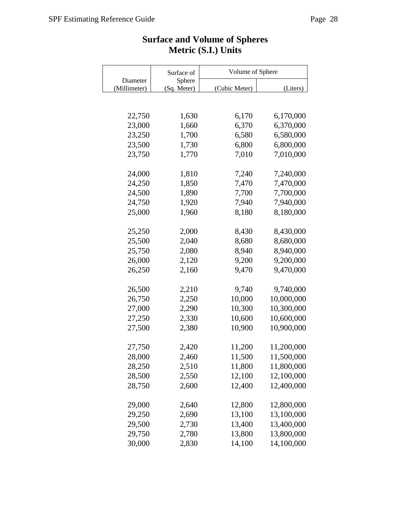|                          | Surface of            | Volume of Sphere |            |
|--------------------------|-----------------------|------------------|------------|
| Diameter<br>(Millimeter) | Sphere<br>(Sq. Meter) | (Cubic Meter)    | (Liters)   |
|                          |                       |                  |            |
|                          |                       |                  |            |
| 22,750                   | 1,630                 | 6,170            | 6,170,000  |
| 23,000                   | 1,660                 | 6,370            | 6,370,000  |
| 23,250                   | 1,700                 | 6,580            | 6,580,000  |
| 23,500                   | 1,730                 | 6,800            | 6,800,000  |
| 23,750                   | 1,770                 | 7,010            | 7,010,000  |
|                          |                       |                  |            |
| 24,000                   | 1,810                 | 7,240            | 7,240,000  |
| 24,250                   | 1,850                 | 7,470            | 7,470,000  |
| 24,500                   | 1,890                 | 7,700            | 7,700,000  |
| 24,750                   | 1,920                 | 7,940            | 7,940,000  |
| 25,000                   | 1,960                 | 8,180            | 8,180,000  |
|                          |                       |                  |            |
| 25,250                   | 2,000                 | 8,430            | 8,430,000  |
| 25,500                   | 2,040                 | 8,680            | 8,680,000  |
| 25,750                   | 2,080                 | 8,940            | 8,940,000  |
| 26,000                   | 2,120                 | 9,200            | 9,200,000  |
| 26,250                   | 2,160                 | 9,470            | 9,470,000  |
|                          |                       |                  |            |
| 26,500                   | 2,210                 | 9,740            | 9,740,000  |
| 26,750                   | 2,250                 | 10,000           | 10,000,000 |
| 27,000                   | 2,290                 | 10,300           | 10,300,000 |
| 27,250                   | 2,330                 | 10,600           | 10,600,000 |
| 27,500                   | 2,380                 | 10,900           | 10,900,000 |
|                          |                       |                  |            |
| 27,750                   | 2,420                 | 11,200           | 11,200,000 |
| 28,000                   | 2,460                 | 11,500           | 11,500,000 |
| 28,250                   | 2,510                 | 11,800           | 11,800,000 |
| 28,500                   | 2,550                 | 12,100           | 12,100,000 |
| 28,750                   | 2,600                 | 12,400           | 12,400,000 |
|                          |                       |                  |            |
| 29,000                   | 2,640                 | 12,800           | 12,800,000 |
| 29,250                   | 2,690                 | 13,100           | 13,100,000 |
| 29,500                   | 2,730                 | 13,400           | 13,400,000 |
| 29,750                   | 2,780                 | 13,800           | 13,800,000 |
| 30,000                   | 2,830                 | 14,100           | 14,100,000 |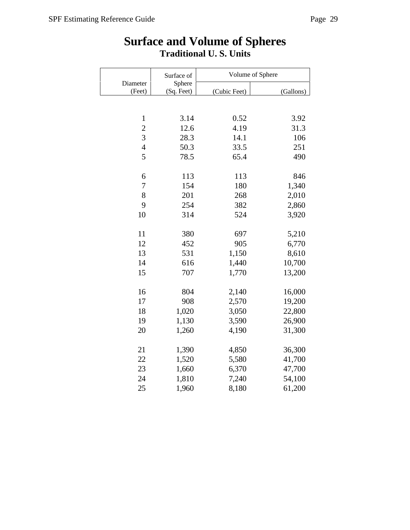<span id="page-28-0"></span>

|                    | Surface of           |              | Volume of Sphere |
|--------------------|----------------------|--------------|------------------|
| Diameter<br>(Feet) | Sphere<br>(Sq. Feet) | (Cubic Feet) | (Gallons)        |
|                    |                      |              |                  |
|                    |                      |              |                  |
| $\mathbf{1}$       | 3.14                 | 0.52         | 3.92             |
| $\overline{c}$     | 12.6                 | 4.19         | 31.3             |
| 3                  | 28.3                 | 14.1         | 106              |
| $\overline{4}$     | 50.3                 | 33.5         | 251              |
| 5                  | 78.5                 | 65.4         | 490              |
|                    |                      |              |                  |
| 6                  | 113                  | 113          | 846              |
| 7                  | 154                  | 180          | 1,340            |
| 8                  | 201                  | 268          | 2,010            |
| 9                  | 254                  | 382          | 2,860            |
| 10                 | 314                  | 524          | 3,920            |
|                    |                      |              |                  |
| 11                 | 380                  | 697          | 5,210            |
| 12                 | 452                  | 905          | 6,770            |
| 13                 | 531                  | 1,150        | 8,610            |
| 14                 | 616                  | 1,440        | 10,700           |
| 15                 | 707                  | 1,770        | 13,200           |
|                    |                      |              |                  |
| 16                 | 804                  | 2,140        | 16,000           |
| 17                 | 908                  | 2,570        | 19,200           |
| 18                 | 1,020                | 3,050        | 22,800           |
| 19                 | 1,130                | 3,590        | 26,900           |
| 20                 | 1,260                | 4,190        | 31,300           |
|                    |                      |              |                  |
| 21                 | 1,390                | 4,850        | 36,300           |
| 22                 | 1,520                | 5,580        | 41,700           |
| 23                 | 1,660                | 6,370        | 47,700           |
| 24                 | 1,810                | 7,240        | 54,100           |
| 25                 | 1,960                | 8,180        | 61,200           |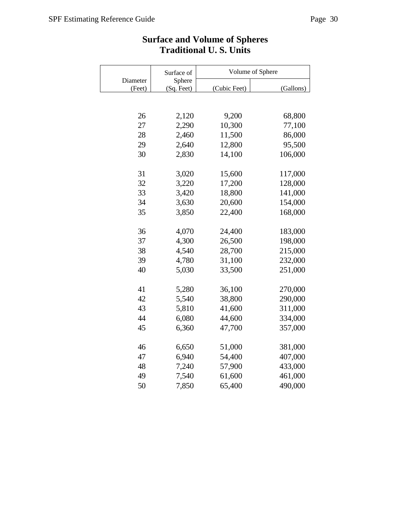|                    | Surface of           |              | Volume of Sphere |
|--------------------|----------------------|--------------|------------------|
| Diameter<br>(Feet) | Sphere<br>(Sq. Feet) | (Cubic Feet) | (Gallons)        |
|                    |                      |              |                  |
| 26                 | 2,120                | 9,200        | 68,800           |
| 27                 | 2,290                | 10,300       | 77,100           |
| 28                 | 2,460                | 11,500       | 86,000           |
| 29                 | 2,640                | 12,800       | 95,500           |
| 30                 | 2,830                | 14,100       | 106,000          |
| 31                 | 3,020                | 15,600       | 117,000          |
| 32                 | 3,220                | 17,200       | 128,000          |
| 33                 | 3,420                | 18,800       | 141,000          |
| 34                 | 3,630                | 20,600       | 154,000          |
| 35                 | 3,850                | 22,400       | 168,000          |
| 36                 | 4,070                | 24,400       | 183,000          |
| 37                 | 4,300                | 26,500       | 198,000          |
| 38                 | 4,540                | 28,700       | 215,000          |
| 39                 | 4,780                | 31,100       | 232,000          |
| 40                 | 5,030                | 33,500       | 251,000          |
| 41                 | 5,280                | 36,100       | 270,000          |
| 42                 | 5,540                | 38,800       | 290,000          |
| 43                 | 5,810                | 41,600       | 311,000          |
| 44                 | 6,080                | 44,600       | 334,000          |
| 45                 | 6,360                | 47,700       | 357,000          |
| 46                 | 6,650                | 51,000       | 381,000          |
| 47                 | 6,940                | 54,400       | 407,000          |
| 48                 | 7,240                | 57,900       | 433,000          |
| 49                 | 7,540                | 61,600       | 461,000          |
| 50                 | 7,850                | 65,400       | 490,000          |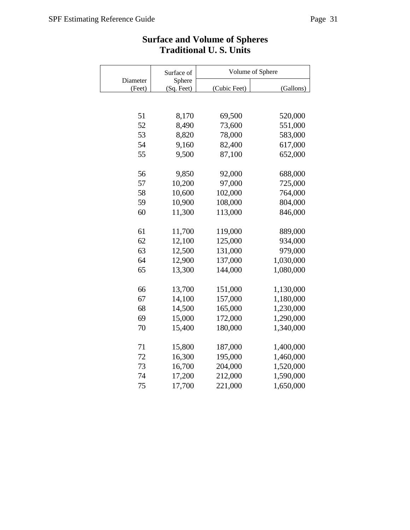|                    | Surface of           | Volume of Sphere |           |
|--------------------|----------------------|------------------|-----------|
| Diameter<br>(Feet) | Sphere<br>(Sq. Feet) | (Cubic Feet)     | (Gallons) |
|                    |                      |                  |           |
| 51                 | 8,170                | 69,500           | 520,000   |
| 52                 | 8,490                | 73,600           | 551,000   |
| 53                 | 8,820                | 78,000           | 583,000   |
| 54                 | 9,160                | 82,400           | 617,000   |
| 55                 | 9,500                | 87,100           | 652,000   |
| 56                 | 9,850                | 92,000           | 688,000   |
| 57                 | 10,200               | 97,000           | 725,000   |
| 58                 | 10,600               | 102,000          | 764,000   |
| 59                 | 10,900               | 108,000          | 804,000   |
| 60                 | 11,300               | 113,000          | 846,000   |
| 61                 | 11,700               | 119,000          | 889,000   |
| 62                 | 12,100               | 125,000          | 934,000   |
| 63                 | 12,500               | 131,000          | 979,000   |
| 64                 | 12,900               | 137,000          | 1,030,000 |
| 65                 | 13,300               | 144,000          | 1,080,000 |
| 66                 | 13,700               | 151,000          | 1,130,000 |
| 67                 | 14,100               | 157,000          | 1,180,000 |
| 68                 | 14,500               | 165,000          | 1,230,000 |
| 69                 | 15,000               | 172,000          | 1,290,000 |
| 70                 | 15,400               | 180,000          | 1,340,000 |
| 71                 | 15,800               | 187,000          | 1,400,000 |
| 72                 | 16,300               | 195,000          | 1,460,000 |
| 73                 | 16,700               | 204,000          | 1,520,000 |
| 74                 | 17,200               | 212,000          | 1,590,000 |
| 75                 | 17,700               | 221,000          | 1,650,000 |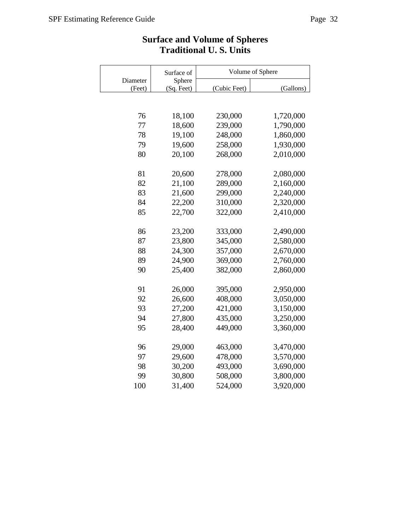|                    | Surface of           | Volume of Sphere |           |
|--------------------|----------------------|------------------|-----------|
| Diameter<br>(Feet) | Sphere<br>(Sq. Feet) | (Cubic Feet)     | (Gallons) |
|                    |                      |                  |           |
| 76                 | 18,100               | 230,000          | 1,720,000 |
| 77                 | 18,600               | 239,000          | 1,790,000 |
| 78                 | 19,100               | 248,000          | 1,860,000 |
| 79                 | 19,600               | 258,000          | 1,930,000 |
| 80                 | 20,100               | 268,000          | 2,010,000 |
|                    |                      |                  |           |
| 81                 | 20,600               | 278,000          | 2,080,000 |
| 82                 | 21,100               | 289,000          | 2,160,000 |
| 83                 | 21,600               | 299,000          | 2,240,000 |
| 84                 | 22,200               | 310,000          | 2,320,000 |
| 85                 | 22,700               | 322,000          | 2,410,000 |
|                    |                      |                  |           |
| 86                 | 23,200               | 333,000          | 2,490,000 |
| 87                 | 23,800               | 345,000          | 2,580,000 |
| 88                 | 24,300               | 357,000          | 2,670,000 |
| 89                 | 24,900               | 369,000          | 2,760,000 |
| 90                 | 25,400               | 382,000          | 2,860,000 |
|                    |                      |                  |           |
| 91                 | 26,000               | 395,000          | 2,950,000 |
| 92                 | 26,600               | 408,000          | 3,050,000 |
| 93                 | 27,200               | 421,000          | 3,150,000 |
| 94                 | 27,800               | 435,000          | 3,250,000 |
| 95                 | 28,400               | 449,000          | 3,360,000 |
|                    |                      |                  |           |
| 96                 | 29,000               | 463,000          | 3,470,000 |
| 97                 | 29,600               | 478,000          | 3,570,000 |
| 98                 | 30,200               | 493,000          | 3,690,000 |
| 99                 | 30,800               | 508,000          | 3,800,000 |
| 100                | 31,400               | 524,000          | 3,920,000 |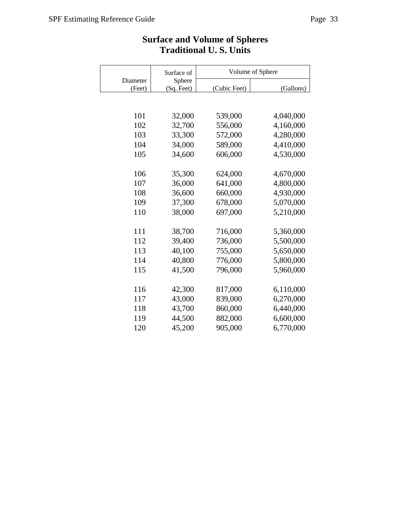|                    | Surface of           | Volume of Sphere |           |
|--------------------|----------------------|------------------|-----------|
| Diameter<br>(Feet) | Sphere<br>(Sq. Feet) | (Cubic Feet)     | (Gallons) |
|                    |                      |                  |           |
|                    |                      |                  |           |
| 101                | 32,000               | 539,000          | 4,040,000 |
| 102                | 32,700               | 556,000          | 4,160,000 |
| 103                | 33,300               | 572,000          | 4,280,000 |
| 104                | 34,000               | 589,000          | 4,410,000 |
| 105                | 34,600               | 606,000          | 4,530,000 |
|                    |                      |                  |           |
| 106                | 35,300               | 624,000          | 4,670,000 |
| 107                | 36,000               | 641,000          | 4,800,000 |
| 108                | 36,600               | 660,000          | 4,930,000 |
| 109                | 37,300               | 678,000          | 5,070,000 |
| 110                | 38,000               | 697,000          | 5,210,000 |
|                    |                      |                  |           |
| 111                | 38,700               | 716,000          | 5,360,000 |
| 112                | 39,400               | 736,000          | 5,500,000 |
| 113                | 40,100               | 755,000          | 5,650,000 |
| 114                | 40,800               | 776,000          | 5,800,000 |
| 115                | 41,500               | 796,000          | 5,960,000 |
|                    |                      |                  |           |
| 116                | 42,300               | 817,000          | 6,110,000 |
| 117                | 43,000               | 839,000          | 6,270,000 |
| 118                | 43,700               | 860,000          | 6,440,000 |
| 119                | 44,500               | 882,000          | 6,600,000 |
| 120                | 45,200               | 905,000          | 6,770,000 |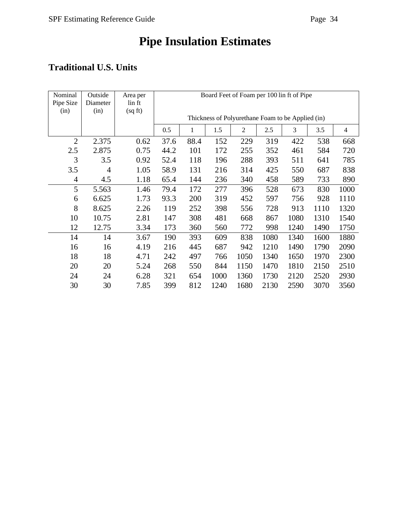## **Pipe Insulation Estimates**

### <span id="page-33-0"></span>**Traditional U.S. Units**

| Nominal        | Outside  | Area per | Board Feet of Foam per 100 lin ft of Pipe |                                                   |      |                |      |      |      |                |
|----------------|----------|----------|-------------------------------------------|---------------------------------------------------|------|----------------|------|------|------|----------------|
| Pipe Size      | Diameter | lin ft   |                                           |                                                   |      |                |      |      |      |                |
| (in)           | (in)     | (sq ft)  |                                           |                                                   |      |                |      |      |      |                |
|                |          |          |                                           | Thickness of Polyurethane Foam to be Applied (in) |      |                |      |      |      |                |
|                |          |          | 0.5                                       | 1                                                 | 1.5  | $\overline{2}$ | 2.5  | 3    | 3.5  | $\overline{4}$ |
| $\overline{2}$ | 2.375    | 0.62     | 37.6                                      | 88.4                                              | 152  | 229            | 319  | 422  | 538  | 668            |
| 2.5            | 2.875    | 0.75     | 44.2                                      | 101                                               | 172  | 255            | 352  | 461  | 584  | 720            |
| 3              | 3.5      | 0.92     | 52.4                                      | 118                                               | 196  | 288            | 393  | 511  | 641  | 785            |
| 3.5            | 4        | 1.05     | 58.9                                      | 131                                               | 216  | 314            | 425  | 550  | 687  | 838            |
| 4              | 4.5      | 1.18     | 65.4                                      | 144                                               | 236  | 340            | 458  | 589  | 733  | 890            |
| 5              | 5.563    | 1.46     | 79.4                                      | 172                                               | 277  | 396            | 528  | 673  | 830  | 1000           |
| 6              | 6.625    | 1.73     | 93.3                                      | 200                                               | 319  | 452            | 597  | 756  | 928  | 1110           |
| 8              | 8.625    | 2.26     | 119                                       | 252                                               | 398  | 556            | 728  | 913  | 1110 | 1320           |
| 10             | 10.75    | 2.81     | 147                                       | 308                                               | 481  | 668            | 867  | 1080 | 1310 | 1540           |
| 12             | 12.75    | 3.34     | 173                                       | 360                                               | 560  | 772            | 998  | 1240 | 1490 | 1750           |
| 14             | 14       | 3.67     | 190                                       | 393                                               | 609  | 838            | 1080 | 1340 | 1600 | 1880           |
| 16             | 16       | 4.19     | 216                                       | 445                                               | 687  | 942            | 1210 | 1490 | 1790 | 2090           |
| 18             | 18       | 4.71     | 242                                       | 497                                               | 766  | 1050           | 1340 | 1650 | 1970 | 2300           |
| 20             | 20       | 5.24     | 268                                       | 550                                               | 844  | 1150           | 1470 | 1810 | 2150 | 2510           |
| 24             | 24       | 6.28     | 321                                       | 654                                               | 1000 | 1360           | 1730 | 2120 | 2520 | 2930           |
| 30             | 30       | 7.85     | 399                                       | 812                                               | 1240 | 1680           | 2130 | 2590 | 3070 | 3560           |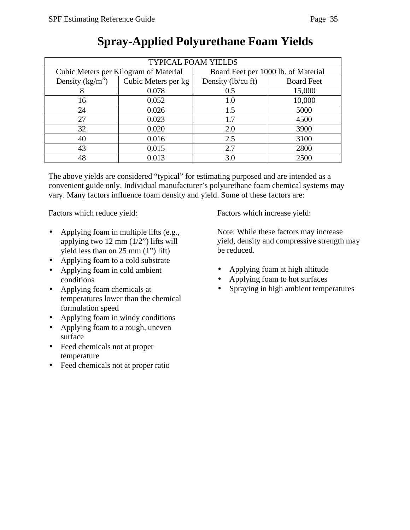<span id="page-34-0"></span>

| <b>TYPICAL FOAM YIELDS</b> |                                       |                    |                                     |  |  |  |  |
|----------------------------|---------------------------------------|--------------------|-------------------------------------|--|--|--|--|
|                            | Cubic Meters per Kilogram of Material |                    | Board Feet per 1000 lb. of Material |  |  |  |  |
| Density $(kg/m^3)$         | Cubic Meters per kg                   | Density (lb/cu ft) | <b>Board Feet</b>                   |  |  |  |  |
| 8                          | 0.078                                 | 0.5                | 15,000                              |  |  |  |  |
| 16                         | 0.052                                 | 1.0                | 10,000                              |  |  |  |  |
| 24                         | 0.026                                 | 1.5                | 5000                                |  |  |  |  |
| 27                         | 0.023                                 | 1.7                | 4500                                |  |  |  |  |
| 32                         | 0.020                                 | 2.0                | 3900                                |  |  |  |  |
| 40                         | 0.016                                 | 2.5                | 3100                                |  |  |  |  |
| 43                         | 0.015                                 | 2.7                | 2800                                |  |  |  |  |
| 48                         | 0.013                                 | 3.0                | 2500                                |  |  |  |  |

## **Spray-Applied Polyurethane Foam Yields**

The above yields are considered "typical" for estimating purposed and are intended as a convenient guide only. Individual manufacturer's polyurethane foam chemical systems may vary. Many factors influence foam density and yield. Some of these factors are:

Factors which reduce yield:

- Applying foam in multiple lifts (e.g., applying two  $12 \text{ mm } (1/2)$  lifts will yield less than on 25 mm (1") lift)
- Applying foam to a cold substrate
- Applying foam in cold ambient conditions
- Applying foam chemicals at temperatures lower than the chemical formulation speed
- Applying foam in windy conditions
- Applying foam to a rough, uneven surface
- Feed chemicals not at proper temperature
- Feed chemicals not at proper ratio

#### Factors which increase yield:

Note: While these factors may increase yield, density and compressive strength may be reduced.

- Applying foam at high altitude
- Applying foam to hot surfaces
- Spraying in high ambient temperatures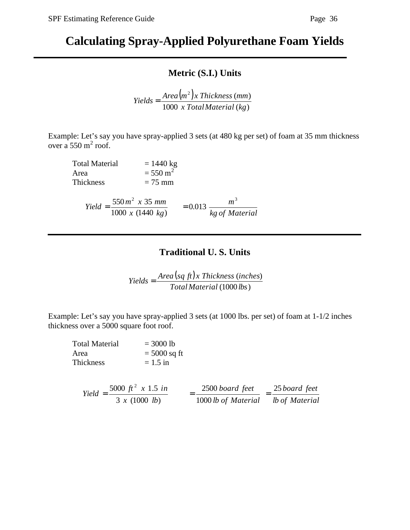### <span id="page-35-0"></span>**Calculating Spray-Applied Polyurethane Foam Yields**

#### **Metric (S.I.) Units**

 $(m^2)$ 1000  $x$  Total Material (kg)  $\int^2$ )x Thickness (mm) *x TotalMaterial kg*  $Yields = \frac{Area(m^2)x \text{ } This method is a function of the function.}$ 

Example: Let's say you have spray-applied 3 sets (at 480 kg per set) of foam at 35 mm thickness over a 550  $m^2$  roof.

| <b>Total Material</b>                                                 | $= 1440$ kg         |             |                                     |
|-----------------------------------------------------------------------|---------------------|-------------|-------------------------------------|
| Area                                                                  | $= 550 \text{ m}^2$ |             |                                     |
| Thickness                                                             | $= 75$ mm           |             |                                     |
| $Yield = \frac{550 \, m^2 \times 35 \, mm}{1000 \times (1440 \, kg)}$ |                     | $= 0.013 -$ | m <sup>3</sup><br>$k$ g of Material |
|                                                                       |                     |             |                                     |

#### **Traditional U. S. Units**

 $(sqft)$  $(1000$  lbs) (inches) *TotalMaterial lbs*  $Yields = \frac{Area\left(sqft\right)x}$  *Thickness* (inches

Example: Let's say you have spray-applied 3 sets (at 1000 lbs. per set) of foam at 1-1/2 inches thickness over a 5000 square foot roof.

| <b>Total Material</b> | $=$ 3000 lb    |
|-----------------------|----------------|
| Area                  | $= 5000$ sq ft |
| Thickness             | $= 1.5$ in     |

| 5000 $ft^2$ x 1.5 in<br>$Yield = \frac{3000 \text{ J}t}{x}$ 1.3 in | 2500 board feet     | 25 board feet  |
|--------------------------------------------------------------------|---------------------|----------------|
| $3 \times (1000 \text{ lb})$                                       | 1000 lb of Material | lb of Material |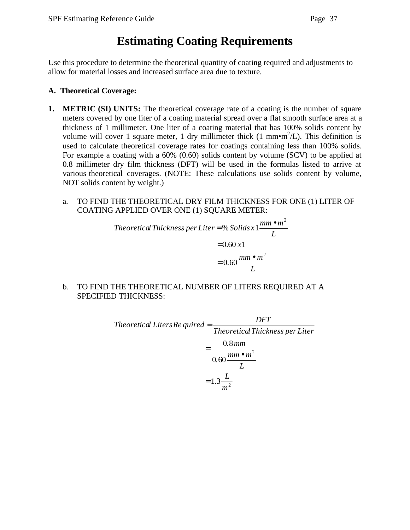## **Estimating Coating Requirements**

<span id="page-36-0"></span>Use this procedure to determine the theoretical quantity of coating required and adjustments to allow for material losses and increased surface area due to texture.

#### **A. Theoretical Coverage:**

- **1. METRIC (SI) UNITS:** The theoretical coverage rate of a coating is the number of square meters covered by one liter of a coating material spread over a flat smooth surface area at a thickness of 1 millimeter. One liter of a coating material that has 100% solids content by volume will cover 1 square meter, 1 dry millimeter thick  $(1 \text{ mm} \cdot \text{m}^2/\text{L})$ . This definition is used to calculate theoretical coverage rates for coatings containing less than 100% solids. For example a coating with a 60% (0.60) solids content by volume (SCV) to be applied at 0.8 millimeter dry film thickness (DFT) will be used in the formulas listed to arrive at various theoretical coverages. (NOTE: These calculations use solids content by volume, NOT solids content by weight.)
	- a. TO FIND THE THEORETICAL DRY FILM THICKNESS FOR ONE (1) LITER OF COATING APPLIED OVER ONE (1) SQUARE METER:

Theoretical Thickness per Liter = % Solids x1 
$$
\frac{mm \bullet m^2}{L}
$$
  
= 0.60 x1  
= 0.60  $\frac{mm \bullet m^2}{L}$ 

b. TO FIND THE THEORETICAL NUMBER OF LITERS REQUIRED AT A SPECIFIED THICKNESS:

Theoretical Liters Re quite  
\n
$$
= \frac{DFT}{Theoretical Thickness per Liter}
$$
\n
$$
= \frac{0.8 \text{ mm}}{0.60 \frac{\text{ mm} \cdot \text{m}^2}{L}}
$$
\n
$$
= 1.3 \frac{L}{m^2}
$$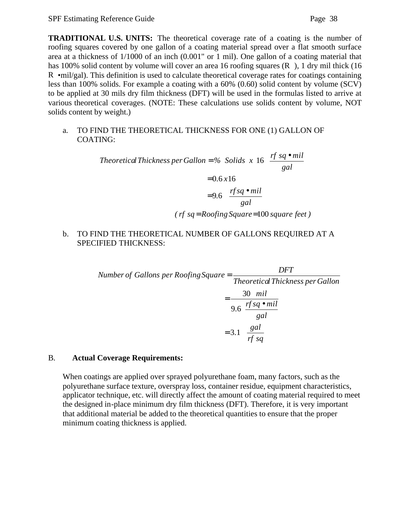**TRADITIONAL U.S. UNITS:** The theoretical coverage rate of a coating is the number of roofing squares covered by one gallon of a coating material spread over a flat smooth surface area at a thickness of 1/1000 of an inch (0.001" or 1 mil). One gallon of a coating material that has 100% solid content by volume will cover an area 16 roofing squares (R), 1 dry mil thick (16 R •mil/gal). This definition is used to calculate theoretical coverage rates for coatings containing less than 100% solids. For example a coating with a 60% (0.60) solid content by volume (SCV) to be applied at 30 mils dry film thickness (DFT) will be used in the formulas listed to arrive at various theoretical coverages. (NOTE: These calculations use solids content by volume, NOT solids content by weight.)

#### a. TO FIND THE THEORETICAL THICKNESS FOR ONE (1) GALLON OF COATING:

*(rf sq Roofing Square square feet )* 100 == *gal*  $=9.6 \frac{rfsq \cdot mil}{r}$  $= 0.6 \times 16$ *gal Theoretical Thickness per Gallon* = % *Solids x* 16  $\frac{rf}{1}$  *sq* • *mil* 

#### b. TO FIND THE THEORETICAL NUMBER OF GALLONS REQUIRED AT A SPECIFIED THICKNESS:

*rf sq*  $\frac{gal}{\dot{a}}$ *gal rf sq mil . mil TheoreticalThickness perGallon DFT Number of Gallons per RoofingSquare* = $3.1$ 9.6 30 =  $=\frac{56}{\sqrt{58q}}$ 

#### B. **Actual Coverage Requirements:**

When coatings are applied over sprayed polyurethane foam, many factors, such as the polyurethane surface texture, overspray loss, container residue, equipment characteristics, applicator technique, etc. will directly affect the amount of coating material required to meet the designed in-place minimum dry film thickness (DFT). Therefore, it is very important that additional material be added to the theoretical quantities to ensure that the proper minimum coating thickness is applied.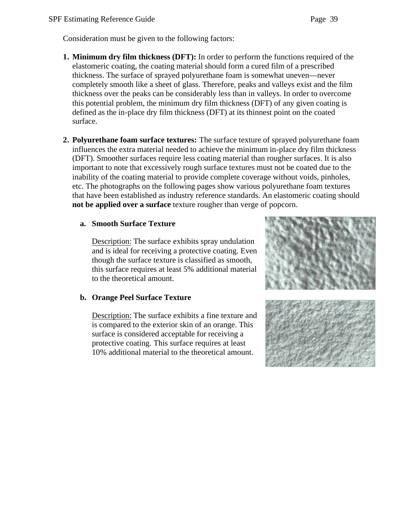- **1. Minimum dry film thickness (DFT):** In order to perform the functions required of the elastomeric coating, the coating material should form a cured film of a prescribed thickness. The surface of sprayed polyurethane foam is somewhat uneven—never completely smooth like a sheet of glass. Therefore, peaks and valleys exist and the film thickness over the peaks can be considerably less than in valleys. In order to overcome this potential problem, the minimum dry film thickness (DFT) of any given coating is defined as the in-place dry film thickness (DFT) at its thinnest point on the coated surface.
- **2. Polyurethane foam surface textures:** The surface texture of sprayed polyurethane foam influences the extra material needed to achieve the minimum in-place dry film thickness (DFT). Smoother surfaces require less coating material than rougher surfaces. It is also important to note that excessively rough surface textures must not be coated due to the inability of the coating material to provide complete coverage without voids, pinholes, etc. The photographs on the following pages show various polyurethane foam textures that have been established as industry reference standards. An elastomeric coating should **not be applied over a surface** texture rougher than verge of popcorn.

#### **a. Smooth Surface Texture**

Description: The surface exhibits spray undulation and is ideal for receiving a protective coating. Even though the surface texture is classified as smooth, this surface requires at least 5% additional material to the theoretical amount.

#### **b. Orange Peel Surface Texture**

Description: The surface exhibits a fine texture and is compared to the exterior skin of an orange. This surface is considered acceptable for receiving a protective coating. This surface requires at least 10% additional material to the theoretical amount.

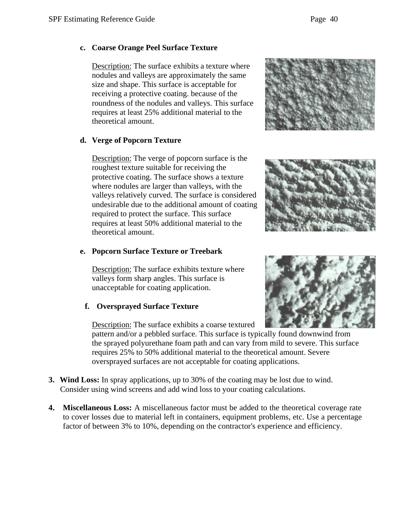#### **c. Coarse Orange Peel Surface Texture**

Description: The surface exhibits a texture where nodules and valleys are approximately the same size and shape. This surface is acceptable for receiving a protective coating. because of the roundness of the nodules and valleys. This surface requires at least 25% additional material to the theoretical amount.

#### **d. Verge of Popcorn Texture**

Description: The verge of popcorn surface is the roughest texture suitable for receiving the protective coating. The surface shows a texture where nodules are larger than valleys, with the valleys relatively curved. The surface is considered undesirable due to the additional amount of coating required to protect the surface. This surface requires at least 50% additional material to the theoretical amount.

#### **e. Popcorn Surface Texture or Treebark**

Description: The surface exhibits texture where valleys form sharp angles. This surface is unacceptable for coating application.

#### **f. Oversprayed Surface Texture**

Description: The surface exhibits a coarse textured

pattern and/or a pebbled surface. This surface is typically found downwind from the sprayed polyurethane foam path and can vary from mild to severe. This surface requires 25% to 50% additional material to the theoretical amount. Severe oversprayed surfaces are not acceptable for coating applications.

- **3. Wind Loss:** In spray applications, up to 30% of the coating may be lost due to wind. Consider using wind screens and add wind loss to your coating calculations.
- **4. Miscellaneous Loss:** A miscellaneous factor must be added to the theoretical coverage rate to cover losses due to material left in containers, equipment problems, etc. Use a percentage factor of between 3% to 10%, depending on the contractor's experience and efficiency.







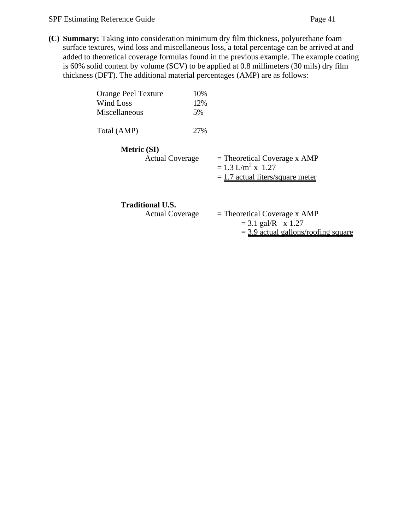#### SPF Estimating Reference Guide Page 41

**(C) Summary:** Taking into consideration minimum dry film thickness, polyurethane foam surface textures, wind loss and miscellaneous loss, a total percentage can be arrived at and added to theoretical coverage formulas found in the previous example. The example coating is 60% solid content by volume (SCV) to be applied at 0.8 millimeters (30 mils) dry film thickness (DFT). The additional material percentages (AMP) are as follows:

| <b>Orange Peel Texture</b>                        | 10% |                                                                                                         |
|---------------------------------------------------|-----|---------------------------------------------------------------------------------------------------------|
| Wind Loss                                         | 12% |                                                                                                         |
| Miscellaneous                                     | 5%  |                                                                                                         |
| Total (AMP)                                       | 27% |                                                                                                         |
| <b>Metric (SI)</b><br><b>Actual Coverage</b>      |     | $=$ Theoretical Coverage x AMP<br>$= 1.3$ L/m <sup>2</sup> x 1.27<br>$= 1.7$ actual liters/square meter |
| <b>Traditional U.S.</b><br><b>Actual Coverage</b> |     | $=$ Theoretical Coverage x AMP<br>$= 3.1$ gal/R x 1.27<br>$=$ 3.9 actual gallons/roofing square         |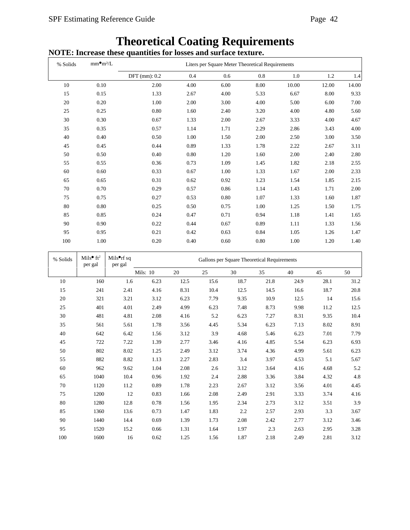## **Theoretical Coating Requirements**

<span id="page-41-0"></span>**NOTE: Increase these quantities for losses and surface texture.**

| % Solids | $mm^{\bullet}m^2/L$ | Liters per Square Meter Theoretical Requirements |      |      |      |       |       |       |
|----------|---------------------|--------------------------------------------------|------|------|------|-------|-------|-------|
|          |                     | $DFT$ (mm): $0.2$                                | 0.4  | 0.6  | 0.8  | 1.0   | 1.2   | 1.4   |
| 10       | 0.10                | 2.00                                             | 4.00 | 6.00 | 8.00 | 10.00 | 12.00 | 14.00 |
| 15       | 0.15                | 1.33                                             | 2.67 | 4.00 | 5.33 | 6.67  | 8.00  | 9.33  |
| 20       | 0.20                | 1.00                                             | 2.00 | 3.00 | 4.00 | 5.00  | 6.00  | 7.00  |
| 25       | 0.25                | 0.80                                             | 1.60 | 2.40 | 3.20 | 4.00  | 4.80  | 5.60  |
| 30       | 0.30                | 0.67                                             | 1.33 | 2.00 | 2.67 | 3.33  | 4.00  | 4.67  |
| 35       | 0.35                | 0.57                                             | 1.14 | 1.71 | 2.29 | 2.86  | 3.43  | 4.00  |
| 40       | 0.40                | 0.50                                             | 1.00 | 1.50 | 2.00 | 2.50  | 3.00  | 3.50  |
| 45       | 0.45                | 0.44                                             | 0.89 | 1.33 | 1.78 | 2.22  | 2.67  | 3.11  |
| 50       | 0.50                | 0.40                                             | 0.80 | 1.20 | 1.60 | 2.00  | 2.40  | 2.80  |
| 55       | 0.55                | 0.36                                             | 0.73 | 1.09 | 1.45 | 1.82  | 2.18  | 2.55  |
| 60       | 0.60                | 0.33                                             | 0.67 | 1.00 | 1.33 | 1.67  | 2.00  | 2.33  |
| 65       | 0.65                | 0.31                                             | 0.62 | 0.92 | 1.23 | 1.54  | 1.85  | 2.15  |
| 70       | 0.70                | 0.29                                             | 0.57 | 0.86 | 1.14 | 1.43  | 1.71  | 2.00  |
| 75       | 0.75                | 0.27                                             | 0.53 | 0.80 | 1.07 | 1.33  | 1.60  | 1.87  |
| 80       | 0.80                | 0.25                                             | 0.50 | 0.75 | 1.00 | 1.25  | 1.50  | 1.75  |
| 85       | 0.85                | 0.24                                             | 0.47 | 0.71 | 0.94 | 1.18  | 1.41  | 1.65  |
| 90       | 0.90                | 0.22                                             | 0.44 | 0.67 | 0.89 | 1.11  | 1.33  | 1.56  |
| 95       | 0.95                | 0.21                                             | 0.42 | 0.63 | 0.84 | 1.05  | 1.26  | 1.47  |
| 100      | 1.00                | 0.20                                             | 0.40 | 0.60 | 0.80 | 1.00  | 1.20  | 1.40  |

| % Solids | Mils <sup>•</sup> ft <sup>2</sup><br>per gal | $Mils$ <sup><math>\bullet</math></sup> rf sq<br>per gal | Gallons per Square Theoretical Requirements |      |      |      |      |      |      |      |
|----------|----------------------------------------------|---------------------------------------------------------|---------------------------------------------|------|------|------|------|------|------|------|
|          |                                              |                                                         | Mils: 10                                    | 20   | 25   | 30   | 35   | 40   | 45   | 50   |
| 10       | 160                                          | 1.6                                                     | 6.23                                        | 12.5 | 15.6 | 18.7 | 21.8 | 24.9 | 28.1 | 31.2 |
| 15       | 241                                          | 2.41                                                    | 4.16                                        | 8.31 | 10.4 | 12.5 | 14.5 | 16.6 | 18.7 | 20.8 |
| 20       | 321                                          | 3.21                                                    | 3.12                                        | 6.23 | 7.79 | 9.35 | 10.9 | 12.5 | 14   | 15.6 |
| 25       | 401                                          | 4.01                                                    | 2.49                                        | 4.99 | 6.23 | 7.48 | 8.73 | 9.98 | 11.2 | 12.5 |
| 30       | 481                                          | 4.81                                                    | 2.08                                        | 4.16 | 5.2  | 6.23 | 7.27 | 8.31 | 9.35 | 10.4 |
| 35       | 561                                          | 5.61                                                    | 1.78                                        | 3.56 | 4.45 | 5.34 | 6.23 | 7.13 | 8.02 | 8.91 |
| 40       | 642                                          | 6.42                                                    | 1.56                                        | 3.12 | 3.9  | 4.68 | 5.46 | 6.23 | 7.01 | 7.79 |
| 45       | 722                                          | 7.22                                                    | 1.39                                        | 2.77 | 3.46 | 4.16 | 4.85 | 5.54 | 6.23 | 6.93 |
| 50       | 802                                          | 8.02                                                    | 1.25                                        | 2.49 | 3.12 | 3.74 | 4.36 | 4.99 | 5.61 | 6.23 |
| 55       | 882                                          | 8.82                                                    | 1.13                                        | 2.27 | 2.83 | 3.4  | 3.97 | 4.53 | 5.1  | 5.67 |
| 60       | 962                                          | 9.62                                                    | 1.04                                        | 2.08 | 2.6  | 3.12 | 3.64 | 4.16 | 4.68 | 5.2  |
| 65       | 1040                                         | 10.4                                                    | 0.96                                        | 1.92 | 2.4  | 2.88 | 3.36 | 3.84 | 4.32 | 4.8  |
| 70       | 1120                                         | 11.2                                                    | 0.89                                        | 1.78 | 2.23 | 2.67 | 3.12 | 3.56 | 4.01 | 4.45 |
| 75       | 1200                                         | 12                                                      | 0.83                                        | 1.66 | 2.08 | 2.49 | 2.91 | 3.33 | 3.74 | 4.16 |
| 80       | 1280                                         | 12.8                                                    | 0.78                                        | 1.56 | 1.95 | 2.34 | 2.73 | 3.12 | 3.51 | 3.9  |
| 85       | 1360                                         | 13.6                                                    | 0.73                                        | 1.47 | 1.83 | 2.2  | 2.57 | 2.93 | 3.3  | 3.67 |
| 90       | 1440                                         | 14.4                                                    | 0.69                                        | 1.39 | 1.73 | 2.08 | 2.42 | 2.77 | 3.12 | 3.46 |
| 95       | 1520                                         | 15.2                                                    | 0.66                                        | 1.31 | 1.64 | 1.97 | 2.3  | 2.63 | 2.95 | 3.28 |
| 100      | 1600                                         | 16                                                      | 0.62                                        | 1.25 | 1.56 | 1.87 | 2.18 | 2.49 | 2.81 | 3.12 |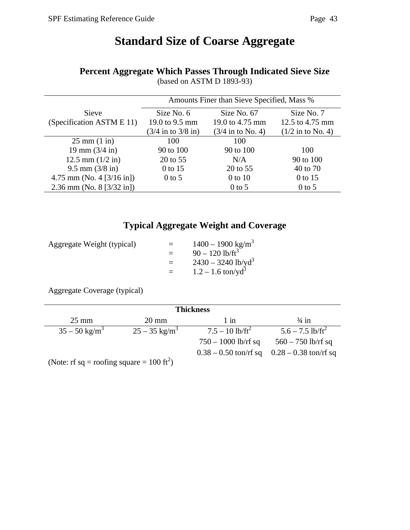## **Standard Size of Coarse Aggregate**

#### <span id="page-42-0"></span>**Percent Aggregate Which Passes Through Indicated Sieve Size** (based on ASTM D 1893-93)

|                                | Amounts Finer than Sieve Specified, Mass % |                     |                              |  |  |  |  |  |
|--------------------------------|--------------------------------------------|---------------------|------------------------------|--|--|--|--|--|
| Sieve                          | Size No. 6                                 | Size No. 67         | Size No. 7                   |  |  |  |  |  |
| (Specification ASTM $E$ 11)    | 19.0 to 9.5 mm                             | 19.0 to 4.75 mm     | 12.5 to 4.75 mm              |  |  |  |  |  |
|                                | $(3/4 \text{ in to } 3/8 \text{ in})$      | $(3/4$ in to No. 4) | $(1/2 \text{ in to No. } 4)$ |  |  |  |  |  |
| $25 \text{ mm} (1 \text{ in})$ | 100                                        | 100                 |                              |  |  |  |  |  |
| 19 mm $(3/4 \text{ in})$       | 90 to 100                                  | 90 to 100           | 100                          |  |  |  |  |  |
| 12.5 mm $(1/2$ in)             | 20 to 55                                   | N/A                 | 90 to 100                    |  |  |  |  |  |
| $9.5$ mm $(3/8$ in)            | 0 to 15                                    | 20 to 55            | 40 to 70                     |  |  |  |  |  |
| 4.75 mm (No. 4 $[3/16$ in])    | $0$ to 5                                   | 0 to 10             | 0 to 15                      |  |  |  |  |  |
| 2.36 mm (No. $8$ [3/32 in])    |                                            | $0$ to 5            | $0$ to 5                     |  |  |  |  |  |

### **Typical Aggregate Weight and Coverage**

| Aggregate Weight (typical) | $1400 - 1900$ kg/m <sup>3</sup>  |
|----------------------------|----------------------------------|
|                            | $90 - 120$ lb/ft <sup>3</sup>    |
|                            | $2430 - 3240$ lb/yd <sup>3</sup> |
|                            | $1.2 - 1.6 \text{ ton/yd}^3$     |

Aggregate Coverage (typical)

| <b>Thickness</b>            |                             |                                                 |                                |  |  |  |  |  |  |
|-----------------------------|-----------------------------|-------------------------------------------------|--------------------------------|--|--|--|--|--|--|
| $25 \text{ mm}$             | $20 \text{ mm}$             | 1 in                                            | $\frac{3}{4}$ in               |  |  |  |  |  |  |
| $35 - 50$ kg/m <sup>3</sup> | $25 - 35$ kg/m <sup>3</sup> | $7.5 - 10$ lb/ft <sup>2</sup>                   | $5.6 - 7.5$ lb/ft <sup>2</sup> |  |  |  |  |  |  |
|                             |                             | $750 - 1000$ lb/rf sq                           | $560 - 750$ lb/rf sq           |  |  |  |  |  |  |
|                             |                             | $0.38 - 0.50$ ton/rf sq $0.28 - 0.38$ ton/rf sq |                                |  |  |  |  |  |  |
|                             | 100 $\mathfrak{L}2\lambda$  |                                                 |                                |  |  |  |  |  |  |

(Note: rf sq = roofing square =  $100 \text{ ft}^2$ )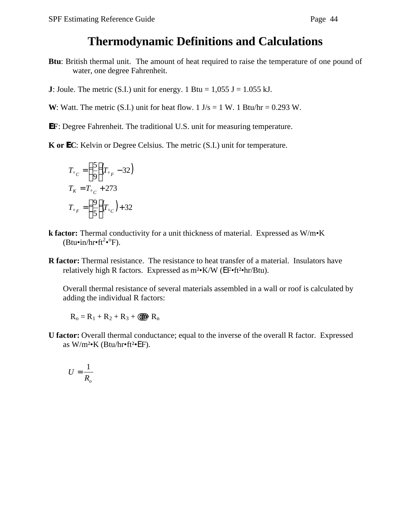### **Thermodynamic Definitions and Calculations**

- <span id="page-43-0"></span>**Btu**: British thermal unit. The amount of heat required to raise the temperature of one pound of water, one degree Fahrenheit.
- **J**: Joule. The metric (S.I.) unit for energy. 1 Btu =  $1,055$  J =  $1.055$  kJ.
- **W**: Watt. The metric (S.I.) unit for heat flow.  $1 \text{ J/s} = 1 \text{ W}$ . 1 Btu/hr = 0.293 W.
- **EF**: Degree Fahrenheit. The traditional U.S. unit for measuring temperature.

**K or EC**: Kelvin or Degree Celsius. The metric (S.I.) unit for temperature.

$$
T_{\circ_C} = \left(\frac{5}{9}\right) T_{\circ_F} - 32
$$
  
\n
$$
T_K = T_{\circ_C} + 273
$$
  
\n
$$
T_{\circ_F} = \left(\frac{9}{5}\right) T_{\circ_C} + 32
$$

- **k factor:** Thermal conductivity for a unit thickness of material. Expressed as W/m•K  $(Btu\cdot in/hr\cdot ft^2\cdot ^oF).$
- **R factor:** Thermal resistance. The resistance to heat transfer of a material. Insulators have relatively high R factors. Expressed as m<sup>2</sup> K/W (EF of t<sup>2</sup> hr/Btu).

Overall thermal resistance of several materials assembled in a wall or roof is calculated by adding the individual R factors:

 $R_0 = R_1 + R_2 + R_3 + \omega + R_n$ 

**U factor:** Overall thermal conductance; equal to the inverse of the overall R factor. Expressed as  $W/m^2$ •K (Btu/hr•ft<sup>2</sup>•EF).

$$
U=\frac{1}{R_o}
$$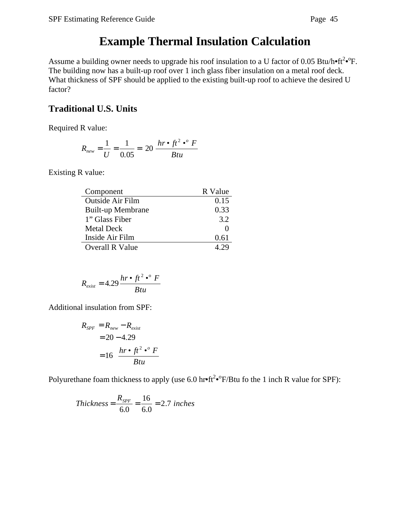### **Example Thermal Insulation Calculation**

<span id="page-44-0"></span>Assume a building owner needs to upgrade his roof insulation to a U factor of 0.05 Btu/h•ft<sup>2</sup>•°F. The building now has a built-up roof over 1 inch glass fiber insulation on a metal roof deck. What thickness of SPF should be applied to the existing built-up roof to achieve the desired U factor?

#### **Traditional U.S. Units**

Required R value:

$$
R_{new} = \frac{1}{U} = \frac{1}{0.05} = 20 \frac{hr \cdot ft^2 \cdot ^o F}{Btu}
$$

Existing R value:

| Component               | R Value |
|-------------------------|---------|
| <b>Outside Air Film</b> | 0.15    |
| Built-up Membrane       | 0.33    |
| 1" Glass Fiber          | 3.2     |
| <b>Metal Deck</b>       |         |
| Inside Air Film         | 0.61    |
| <b>Overall R Value</b>  |         |

$$
R_{\text{exist}} = 4.29 \frac{hr \cdot ft^2 \cdot ^{\circ} F}{Btu}
$$

Additional insulation from SPF:

$$
R_{SPF} = R_{new} - R_{exist}
$$
  
= 20 - 4.29  
= 16 
$$
\frac{hr \cdot ft^2 \cdot r}{Btu}
$$

Polyurethane foam thickness to apply (use 6.0 hr•ft<sup>2</sup>•<sup>o</sup>F/Btu fo the 1 inch R value for SPF):

$$
Thichness = \frac{R_{SPF}}{6.0} = \frac{16}{6.0} = 2.7 \text{ inches}
$$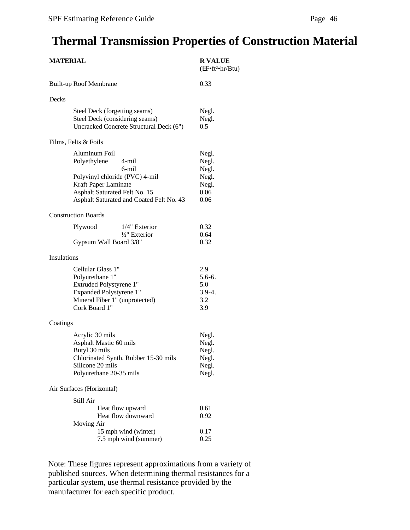## <span id="page-45-0"></span>**Thermal Transmission Properties of Construction Material**

| <b>MATERIAL</b>                                                                                                                                                                                         | <b>R VALUE</b><br>(EF•ft <sup>2</sup> •hr/Btu)            |  |  |  |  |  |
|---------------------------------------------------------------------------------------------------------------------------------------------------------------------------------------------------------|-----------------------------------------------------------|--|--|--|--|--|
| <b>Built-up Roof Membrane</b>                                                                                                                                                                           | 0.33                                                      |  |  |  |  |  |
| Decks                                                                                                                                                                                                   |                                                           |  |  |  |  |  |
| Steel Deck (forgetting seams)<br>Steel Deck (considering seams)<br>Uncracked Concrete Structural Deck (6")                                                                                              | Negl.<br>Negl.<br>0.5                                     |  |  |  |  |  |
| Films, Felts & Foils                                                                                                                                                                                    |                                                           |  |  |  |  |  |
| Aluminum Foil<br>Polyethylene<br>4-mil<br>6-mil<br>Polyvinyl chloride (PVC) 4-mil<br>Kraft Paper Laminate<br>Asphalt Saturated Felt No. 15<br>Asphalt Saturated and Coated Felt No. 43                  | Negl.<br>Negl.<br>Negl.<br>Negl.<br>Negl.<br>0.06<br>0.06 |  |  |  |  |  |
| <b>Construction Boards</b>                                                                                                                                                                              |                                                           |  |  |  |  |  |
| 1/4" Exterior<br>Plywood<br>1/2" Exterior<br>Gypsum Wall Board 3/8"                                                                                                                                     | 0.32<br>0.64<br>0.32                                      |  |  |  |  |  |
| <b>Insulations</b>                                                                                                                                                                                      |                                                           |  |  |  |  |  |
| Cellular Glass 1"<br>Polyurethane 1"<br>Extruded Polystyrene 1"<br>Expanded Polystyrene 1"<br>Mineral Fiber 1" (unprotected)<br>Cork Board 1"                                                           | 2.9<br>$5.6 - 6.$<br>5.0<br>$3.9 - 4.$<br>3.2<br>3.9      |  |  |  |  |  |
| Coatings                                                                                                                                                                                                |                                                           |  |  |  |  |  |
| Acrylic 30 mils<br>Negl.<br>Asphalt Mastic 60 mils<br>Negl.<br>Butyl 30 mils<br>Negl.<br>Chlorinated Synth. Rubber 15-30 mils<br>Negl.<br>Silicone 20 mils<br>Negl.<br>Polyurethane 20-35 mils<br>Negl. |                                                           |  |  |  |  |  |
| Air Surfaces (Horizontal)                                                                                                                                                                               |                                                           |  |  |  |  |  |
| Still Air<br>Heat flow upward<br>Heat flow downward<br>Moving Air<br>15 mph wind (winter)<br>7.5 mph wind (summer)                                                                                      | 0.61<br>0.92<br>0.17<br>0.25                              |  |  |  |  |  |

Note: These figures represent approximations from a variety of published sources. When determining thermal resistances for a particular system, use thermal resistance provided by the manufacturer for each specific product.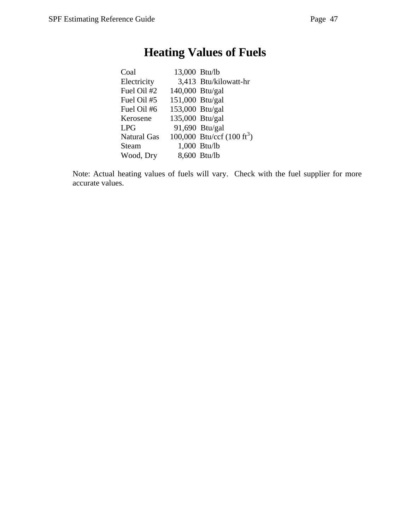## **Heating Values of Fuels**

<span id="page-46-0"></span>

| Coal               | 13,000 Btu/lb   |                                      |
|--------------------|-----------------|--------------------------------------|
| Electricity        |                 | 3,413 Btu/kilowatt-hr                |
| Fuel Oil #2        | 140,000 Btu/gal |                                      |
| Fuel Oil #5        | 151,000 Btu/gal |                                      |
| Fuel Oil #6        | 153,000 Btu/gal |                                      |
| Kerosene           | 135,000 Btu/gal |                                      |
| <b>LPG</b>         |                 | 91,690 Btu/gal                       |
| <b>Natural Gas</b> |                 | 100,000 Btu/ccf $(100 \text{ ft}^3)$ |
| <b>Steam</b>       |                 | 1,000 Btu/lb                         |
| Wood, Dry          |                 | 8,600 Btu/lb                         |

Note: Actual heating values of fuels will vary. Check with the fuel supplier for more accurate values.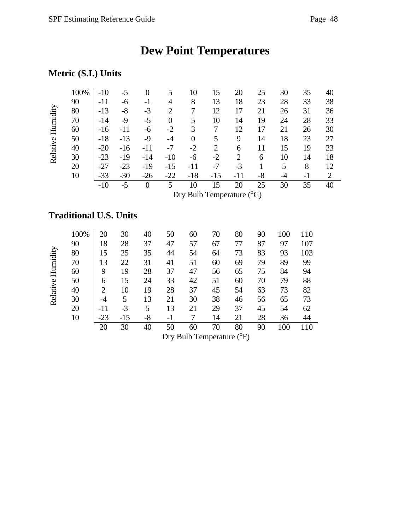## **Dew Point Temperatures**

#### <span id="page-47-0"></span>**Metric (S.I.) Units**

|          | 100% | $-10$ | $-5$  |          | 5              | 10       | 15             | 20             | 25   | 30 | 35 | 40             |
|----------|------|-------|-------|----------|----------------|----------|----------------|----------------|------|----|----|----------------|
|          | 90   | $-11$ | $-6$  | $-1$     | 4              | 8        | 13             | 18             | 23   | 28 | 33 | 38             |
| Humidity | 80   | $-13$ | $-8$  | $-3$     | $\overline{2}$ | 7        | 12             | 17             | 21   | 26 | 31 | 36             |
|          | 70   | $-14$ | $-9$  | $-5$     | $\overline{0}$ | 5        | 10             | 14             | 19   | 24 | 28 | 33             |
|          | 60   | $-16$ | $-11$ | -6       | $-2$           | 3        | 7              | 12             | 17   | 21 | 26 | 30             |
|          | 50   | $-18$ | $-13$ | $-9$     | -4             | $\theta$ | 5              | 9              | 14   | 18 | 23 | 27             |
| Relative | 40   | $-20$ | $-16$ | $-11$    | $-7$           | $-2$     | $\overline{2}$ | 6              | 11   | 15 | 19 | 23             |
|          | 30   | $-23$ | $-19$ | $-14$    | $-10$          | $-6$     | $-2$           | $\overline{2}$ | 6    | 10 | 14 | 18             |
|          | 20   | $-27$ | $-23$ | $-19$    | $-15$          | $-11$    | -7             | $-3$           |      | 5  | 8  | 12             |
|          | 10   | $-33$ | $-30$ | $-26$    | $-22$          | $-18$    | $-15$          | $-11$          | $-8$ | -4 | -1 | $\overline{2}$ |
|          |      |       | -5    | $\theta$ | 5              | 10       | 15             | 20             | 25   | 30 | 35 | 40             |

Dry Bulb Temperature  $(^{\circ}C)$ 

#### **Traditional U.S. Units**

|          | 100% | 20             | 30    | 40   | 50                                 | 60            | 70 | 80         | 90 | 100 | 110 |
|----------|------|----------------|-------|------|------------------------------------|---------------|----|------------|----|-----|-----|
|          | 90   | 18             | 28    | 37   | 47                                 | 57            | 67 | 77         | 87 | 97  | 107 |
| Humidity | 80   | 15             | 25    | 35   | 44                                 | 54            | 64 | 73         | 83 | 93  | 103 |
|          | 70   | 13             | 22    | 31   | 41                                 | 51            | 60 | 69         | 79 | 89  | 99  |
|          | 60   | 9              | 19    | 28   | 37                                 | 47            | 56 | 65         | 75 | 84  | 94  |
|          | 50   | 6              | 15    | 24   | 33                                 | 42            | 51 | 60         | 70 | 79  | 88  |
|          | 40   | $\overline{2}$ | 10    | 19   | 28                                 | 37            | 45 | 54         | 63 | 73  | 82  |
| Relative | 30   | -4             | 5     | 13   | 21                                 | 30            | 38 | 46         | 56 | 65  | 73  |
|          | 20   | $-11$          | $-3$  | 5    | 13                                 | 21            | 29 | 37         | 45 | 54  | 62  |
|          | 10   | $-23$          | $-15$ | $-8$ | $-1$                               | 7             | 14 | 21         | 28 | 36  | 44  |
|          |      | 20             | 30    | 40   | 50                                 | 60            | 70 | 80         | 90 | 100 | 110 |
|          |      |                |       |      | $\overline{\phantom{a}}$<br>$\sim$ | $\mathbf{11}$ |    | $\sqrt{2}$ |    |     |     |

Dry Bulb Temperature (°F)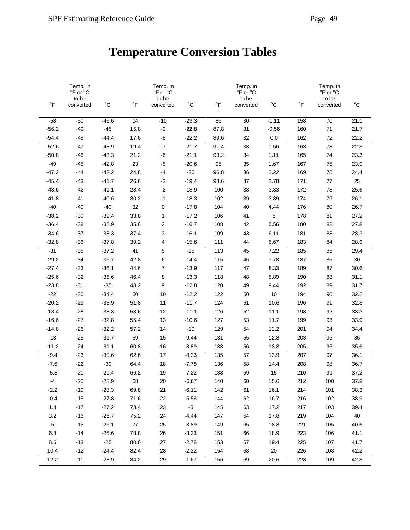| <b>Temperature Conversion Tables</b> |  |  |
|--------------------------------------|--|--|
|--------------------------------------|--|--|

<span id="page-48-0"></span>

|                 | Temp. in          |             |              | Temp. in                                  |             |                | Temp. in          |             |     | Temp. in          |             |
|-----------------|-------------------|-------------|--------------|-------------------------------------------|-------------|----------------|-------------------|-------------|-----|-------------------|-------------|
|                 | °F or °C<br>to be |             |              | <sup>°</sup> F or <sup>°</sup> C<br>to be |             |                | °F or °C<br>to be |             |     | °F or °C<br>to be |             |
| °F              | converted         | $^{\circ}C$ | $\mathrm{P}$ | converted                                 | $^{\circ}C$ | $\overline{F}$ | converted         | $^{\circ}C$ | °F  | converted         | $^{\circ}C$ |
| $-58$           | $-50$             | $-45.6$     | 14           | $-10$                                     | $-23.3$     | 86             | 30                | $-1.11$     | 158 | 70                | 21.1        |
| $-56.2$         | $-49$             | $-45$       | 15.8         | -9                                        | $-22.8$     | 87.8           | 31                | $-0.56$     | 160 | 71                | 21.7        |
| $-54.4$         | $-48$             | $-44.4$     | 17.6         | -8                                        | $-22.2$     | 89.6           | 32                | 0.0         | 162 | 72                | 22.2        |
| $-52.6$         | $-47$             | $-43.9$     | 19.4         | $-7$                                      | $-21.7$     | 91.4           | 33                | 0.56        | 163 | 73                | 22.8        |
| $-50.8$         | $-46$             | $-43.3$     | 21.2         | $-6$                                      | $-21.1$     | 93.2           | 34                | 1.11        | 165 | 74                | 23.3        |
| $-49$           | $-45$             | $-42.8$     | 23           | $-5$                                      | $-20.6$     | 95             | 35                | 1.67        | 167 | 75                | 23.9        |
| $-47.2$         | $-44$             | $-42.2$     | 24.8         | $-4$                                      | $-20$       | 96.8           | 36                | 2.22        | 169 | 76                | 24.4        |
| $-45.4$         | $-43$             | $-41.7$     | 26.6         | $-3$                                      | $-19.4$     | 98.6           | 37                | 2.78        | 171 | 77                | 25          |
| $-43.6$         | $-42$             | $-41.1$     | 28.4         | $-2$                                      | $-18.9$     | 100            | 38                | 3.33        | 172 | 78                | 25.6        |
| $-41.8$         | $-41$             | $-40.6$     | 30.2         | $-1$                                      | $-18.3$     | 102            | 39                | 3.89        | 174 | 79                | 26.1        |
| $-40$           | $-40$             | $-40$       | 32           | 0                                         | $-17.8$     | 104            | 40                | 4.44        | 176 | 80                | 26.7        |
| $-38.2$         | $-39$             | $-39.4$     | 33.8         | 1                                         | $-17.2$     | 106            | 41                | 5           | 178 | 81                | 27.2        |
| $-36.4$         | $-38$             | $-38.9$     | 35.6         | 2                                         | $-16.7$     | 108            | 42                | 5.56        | 180 | 82                | 27.8        |
| $-34.6$         | $-37$             | $-38.3$     | 37.4         | 3                                         | $-16.1$     | 109            | 43                | 6.11        | 181 | 83                | 28.3        |
| $-32.8$         | $-36$             | $-37.8$     | 39.2         | 4                                         | $-15.6$     | 111            | 44                | 6.67        | 183 | 84                | 28.9        |
| $-31$           | $-35$             | $-37.2$     | 41           | 5                                         | $-15$       | 113            | 45                | 7.22        | 185 | 85                | 29.4        |
| $-29.2$         | $-34$             | $-36.7$     | 42.8         | 6                                         | $-14.4$     | 115            | 46                | 7.78        | 187 | 86                | $30\,$      |
| $-27.4$         | $-33$             | $-36.1$     | 44.6         | 7                                         | $-13.9$     | 117            | 47                | 8.33        | 189 | 87                | $30.6\,$    |
| $-25.6$         | $-32$             | $-35.6$     | 46.4         | 8                                         | $-13.3$     | 118            | 48                | 8.89        | 190 | 88                | 31.1        |
| $-23.8$         | $-31$             | $-35$       | 48.2         | 9                                         | $-12.8$     | 120            | 49                | 9.44        | 192 | 89                | 31.7        |
| $-22$           | $-30$             | $-34.4$     | 50           | 10                                        | $-12.2$     | 122            | 50                | 10          | 194 | 90                | 32.2        |
| $-20.2$         | $-29$             | $-33.9$     | 51.8         | 11                                        | $-11.7$     | 124            | 51                | 10.6        | 196 | 91                | 32.8        |
| $-18.4$         | $-28$             | $-33.3$     | 53.6         | 12                                        | $-11.1$     | 126            | 52                | 11.1        | 198 | 92                | 33.3        |
| $-16.6$         | $-27$             | $-32.8$     | 55.4         | 13                                        | $-10.6$     | 127            | 53                | 11.7        | 199 | 93                | 33.9        |
| $-14.8$         | $-26$             | $-32.2$     | 57.2         | 14                                        | $-10$       | 129            | 54                | 12.2        | 201 | 94                | 34.4        |
| $-13$           | $-25$             | $-31.7$     | 59           | 15                                        | $-9.44$     | 131            | 55                | 12.8        | 203 | 95                | 35          |
| $-11.2$         | $-24$             | $-31.1$     | 60.8         | 16                                        | $-8.89$     | 133            | 56                | 13.3        | 205 | 96                | 35.6        |
| $-9.4$          | $-23$             | $-30.6$     | 62.6         | 17                                        | $-8.33$     | 135            | 57                | 13.9        | 207 | 97                | 36.1        |
| $-7.6$          | $-22$             | $-30$       | 64.4         | 18                                        | $-7.78$     | 136            | 58                | 14.4        | 208 | 98                | 36.7        |
| $-5.8$          | $-21$             | $-29.4$     | 66.2         | 19                                        | $-7.22$     | 138            | 59                | 15          | 210 | 99                | 37.2        |
| $-4$            | $-20$             | $-28.9$     | 68           | 20                                        | $-6.67$     | 140            | 60                | 15.6        | 212 | 100               | 37.8        |
| $-2.2$          | $-19$             | $-28.3$     | 69.8         | 21                                        | $-6.11$     | 142            | 61                | 16.1        | 214 | 101               | 38.3        |
| $-0.4$          | $-18$             | $-27.8$     | 71.6         | 22                                        | $-5.56$     | 144            | 62                | 16.7        | 216 | 102               | 38.9        |
| 1.4             | $-17$             | $-27.2$     | 73.4         | 23                                        | $-5$        | 145            | 63                | 17.2        | 217 | 103               | 39.4        |
| 3.2             | $-16$             | $-26.7$     | 75.2         | 24                                        | $-4.44$     | 147            | 64                | 17.8        | 219 | 104               | 40          |
| $5\phantom{.0}$ | $-15$             | $-26.1$     | $77\,$       | 25                                        | $-3.89$     | 149            | 65                | 18.3        | 221 | 105               | 40.6        |
| 6.8             | $-14$             | $-25.6$     | 78.8         | 26                                        | $-3.33$     | 151            | 66                | 18.9        | 223 | 106               | 41.1        |
| 8.6             | $-13$             | $-25$       | 80.6         | 27                                        | $-2.78$     | 153            | 67                | 19.4        | 225 | 107               | 41.7        |
| 10.4            | $-12$             | $-24.4$     | 82.4         | 28                                        | $-2.22$     | 154            | 68                | 20          | 226 | 108               | 42.2        |
| 12.2            | $-11$             | $-23.9$     | 84.2         | 29                                        | $-1.67$     | 156            | 69                | 20.6        | 228 | 109               | 42.8        |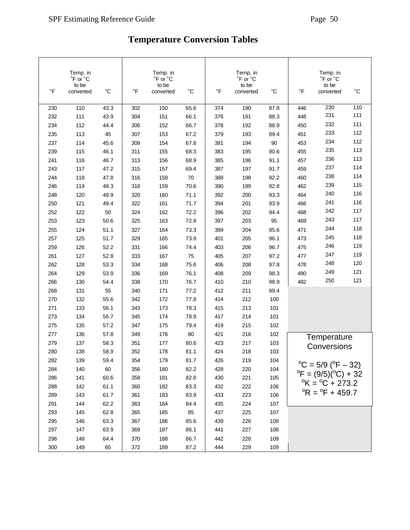## **Temperature Conversion Tables**

| $\overline{P}$ | Temp. in<br>°F or °C<br>to be<br>converted | $^{\circ}C$ | $\mathsf{P}$ | Temp. in<br>°F or °C<br>to be<br>converted | °C   | $\mathrm{^{\circ}F}$ | Temp. in<br>°F or °C<br>to be<br>converted | $^{\circ}C$ | $\overline{P}$ | Temp. in<br>°F or °C<br>to be<br>converted                                                | $^{\circ}C$ |
|----------------|--------------------------------------------|-------------|--------------|--------------------------------------------|------|----------------------|--------------------------------------------|-------------|----------------|-------------------------------------------------------------------------------------------|-------------|
| 230            | 110                                        | 43.3        | 302          | 150                                        | 65.6 | 374                  | 190                                        | 87.8        | 446            | 230                                                                                       | 110         |
| 232            | 111                                        | 43.9        | 304          | 151                                        | 66.1 | 376                  | 191                                        | 88.3        | 448            | 231                                                                                       | 111         |
| 234            | 112                                        | 44.4        | 306          | 152                                        | 66.7 | 378                  | 192                                        | 88.9        | 450            | 232                                                                                       | 111         |
| 235            | 113                                        | 45          | 307          | 153                                        | 67.2 | 379                  | 193                                        | 89.4        | 451            | 233                                                                                       | 112         |
| 237            | 114                                        | 45.6        | 309          | 154                                        | 67.8 | 381                  | 194                                        | 90          | 453            | 234                                                                                       | 112         |
| 239            | 115                                        | 46.1        | 311          | 155                                        | 68.3 | 383                  | 195                                        | 90.6        | 455            | 235                                                                                       | 113         |
| 241            | 116                                        | 46.7        | 313          | 156                                        | 68.9 | 385                  | 196                                        | 91.1        | 457            | 236                                                                                       | 113         |
| 243            | 117                                        | 47.2        | 315          | 157                                        | 69.4 | 387                  | 197                                        | 91.7        | 459            | 237                                                                                       | 114         |
| 244            | 118                                        | 47.8        | 316          | 158                                        | 70   | 388                  | 198                                        | 92.2        | 460            | 238                                                                                       | 114         |
| 246            | 119                                        | 48.3        | 318          | 159                                        | 70.6 | 390                  | 199                                        | 92.8        | 462            | 239                                                                                       | 115         |
| 248            | 120                                        | 48.9        | 320          | 160                                        | 71.1 | 392                  | 200                                        | 93.3        | 464            | 240                                                                                       | 116         |
| 250            | 121                                        | 49.4        | 322          | 161                                        | 71.7 | 394                  | 201                                        | 93.9        | 466            | 241                                                                                       | 116         |
| 252            | 122                                        | 50          | 324          | 162                                        | 72.2 | 396                  | 202                                        | 94.4        | 468            | 242                                                                                       | 117         |
| 253            | 123                                        | 50.6        | 325          | 163                                        | 72.8 | 397                  | 203                                        | 95          | 469            | 243                                                                                       | 117         |
| 255            | 124                                        | 51.1        | 327          | 164                                        | 73.3 | 399                  | 204                                        | 95.6        | 471            | 244                                                                                       | 118         |
| 257            | 125                                        | 51.7        | 329          | 165                                        | 73.9 | 401                  | 205                                        | 96.1        | 473            | 245                                                                                       | 118         |
| 259            | 126                                        | 52.2        | 331          | 166                                        | 74.4 | 403                  | 206                                        | 96.7        | 475            | 246                                                                                       | 119         |
| 261            | 127                                        | 52.8        | 333          | 167                                        | 75   | 405                  | 207                                        | 97.2        | 477            | 247                                                                                       | 119         |
| 262            | 128                                        | 53.3        | 334          | 168                                        | 75.6 | 406                  | 208                                        | 97.8        | 478            | 248                                                                                       | 120         |
| 264            | 129                                        | 53.9        | 336          | 169                                        | 76.1 | 408                  | 209                                        | 98.3        | 480            | 249                                                                                       | 121         |
| 266            | 130                                        | 54.4        | 338          | 170                                        | 76.7 | 410                  | 210                                        | 98.9        | 482            | 250                                                                                       | 121         |
| 268            | 131                                        | 55          | 340          | 171                                        | 77.2 | 412                  | 211                                        | 99.4        |                |                                                                                           |             |
| 270            | 132                                        | 55.6        | 342          | 172                                        | 77.8 | 414                  | 212                                        | 100         |                |                                                                                           |             |
| 271            | 133                                        | 56.1        | 343          | 173                                        | 78.3 | 415                  | 213                                        | 101         |                |                                                                                           |             |
| 273            | 134                                        | 56.7        | 345          | 174                                        | 78.9 | 417                  | 214                                        | 101         |                |                                                                                           |             |
| 275            | 135                                        | 57.2        | 347          | 175                                        | 79.4 | 419                  | 215                                        | 102         |                |                                                                                           |             |
| 277            | 136                                        | 57.8        | 349          | 176                                        | 80   | 421                  | 216                                        | 102         |                | Temperature                                                                               |             |
| 279            | 137                                        | 58.3        | 351          | 177                                        | 80.6 | 423                  | 217                                        | 103         |                | Conversions                                                                               |             |
| 280            | 138                                        | 58.9        | 352          | 178                                        | 81.1 | 424                  | 218                                        | 103         |                |                                                                                           |             |
| 282            | 139                                        | 59.4        | 354          | 179                                        | 81.7 | 426                  | 219                                        | 104         |                | $^{\circ}$ C = 5/9 ( $^{\circ}$ F – 32)                                                   |             |
| 284            | 140                                        | 60          | 356          | 180                                        | 82.2 | 428                  | 220                                        | 104         |                |                                                                                           |             |
| 286            | 141                                        | 60.6        | 358          | 181                                        | 82.8 | 430                  | 221                                        | 105         |                | ${}^{0}$ F = (9/5)( ${}^{0}$ C) + 32<br>$\mathrm{^{\circ}K} = \mathrm{^{\circ}C} + 273.2$ |             |
| 288            | 142                                        | 61.1        | 360          | 182                                        | 83.3 | 432                  | 222                                        | 106         |                |                                                                                           |             |
| 289            | 143                                        | 61.7        | 361          | 183                                        | 83.9 | 433                  | 223                                        | 106         |                | ${}^{\circ}R = {}^{\circ}F + 459.7$                                                       |             |
| 291            | 144                                        | 62.2        | 363          | 184                                        | 84.4 | 435                  | 224                                        | 107         |                |                                                                                           |             |
| 293            | 145                                        | 62.8        | 365          | 185                                        | 85   | 437                  | 225                                        | 107         |                |                                                                                           |             |
| 295            | 146                                        | 63.3        | 367          | 186                                        | 85.6 | 439                  | 226                                        | 108         |                |                                                                                           |             |
| 297            | 147                                        | 63.9        | 369          | 187                                        | 86.1 | 441                  | 227                                        | 108         |                |                                                                                           |             |
| 298            | 148                                        | 64.4        | 370          | 188                                        | 86.7 | 442                  | 228                                        | 109         |                |                                                                                           |             |
| 300            | 149                                        | 65          | 372          | 189                                        | 87.2 | 444                  | 229                                        | 109         |                |                                                                                           |             |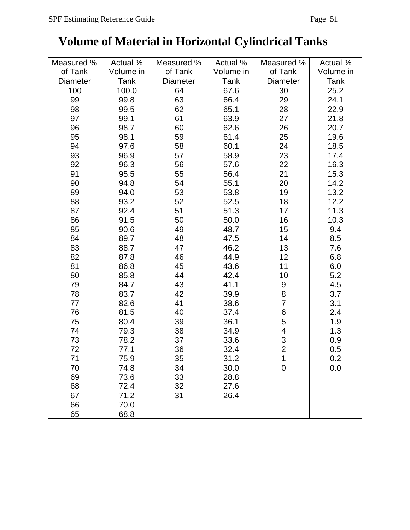## <span id="page-50-0"></span>**Volume of Material in Horizontal Cylindrical Tanks**

| Measured %      | Actual %  | Measured % | Actual %  | Measured %                            | Actual %  |
|-----------------|-----------|------------|-----------|---------------------------------------|-----------|
| of Tank         | Volume in | of Tank    | Volume in | of Tank                               | Volume in |
| <b>Diameter</b> | Tank      | Diameter   | Tank      | <b>Diameter</b>                       | Tank      |
| 100             | 100.0     | 64         | 67.6      | 30                                    | 25.2      |
| 99              | 99.8      | 63         | 66.4      | 29                                    | 24.1      |
| 98              | 99.5      | 62         | 65.1      | 28                                    | 22.9      |
| 97              | 99.1      | 61         | 63.9      | 27                                    | 21.8      |
| 96              | 98.7      | 60         | 62.6      | 26                                    | 20.7      |
| 95              | 98.1      | 59         | 61.4      | 25                                    | 19.6      |
| 94              | 97.6      | 58         | 60.1      | 24                                    | 18.5      |
| 93              | 96.9      | 57         | 58.9      | 23                                    | 17.4      |
| 92              | 96.3      | 56         | 57.6      | 22                                    | 16.3      |
| 91              | 95.5      | 55         | 56.4      | 21                                    | 15.3      |
| 90              | 94.8      | 54         | 55.1      | 20                                    | 14.2      |
| 89              | 94.0      | 53         | 53.8      | 19                                    | 13.2      |
| 88              | 93.2      | 52         | 52.5      | 18                                    | 12.2      |
| 87              | 92.4      | 51         | 51.3      | 17                                    | 11.3      |
| 86              | 91.5      | 50         | 50.0      | 16                                    | 10.3      |
| 85              | 90.6      | 49         | 48.7      | 15                                    | 9.4       |
| 84              | 89.7      | 48         | 47.5      | 14                                    | 8.5       |
| 83              | 88.7      | 47         | 46.2      | 13                                    | 7.6       |
| 82              | 87.8      | 46         | 44.9      | 12                                    | 6.8       |
| 81              | 86.8      | 45         | 43.6      | 11                                    | 6.0       |
| 80              | 85.8      | 44         | 42.4      | 10                                    | 5.2       |
| 79              | 84.7      | 43         | 41.1      | 9                                     | 4.5       |
| 78              | 83.7      | 42         | 39.9      | $\begin{array}{c} 8 \\ 7 \end{array}$ | 3.7       |
| 77              | 82.6      | 41         | 38.6      |                                       | 3.1       |
| 76              | 81.5      | 40         | 37.4      | 6<br>5                                | 2.4       |
| 75              | 80.4      | 39         | 36.1      |                                       | 1.9       |
| 74              | 79.3      | 38         | 34.9      | $\overline{\mathcal{A}}$              | 1.3       |
| 73              | 78.2      | 37         | 33.6      | $\frac{3}{2}$                         | 0.9       |
| 72              | 77.1      | 36         | 32.4      |                                       | 0.5       |
| 71              | 75.9      | 35         | 31.2      | 1                                     | 0.2       |
| 70              | 74.8      | 34         | 30.0      | $\pmb{0}$                             | 0.0       |
| 69              | 73.6      | 33         | 28.8      |                                       |           |
| 68              | 72.4      | 32         | 27.6      |                                       |           |
| 67              | 71.2      | 31         | 26.4      |                                       |           |
| 66              | 70.0      |            |           |                                       |           |
| 65              | 68.8      |            |           |                                       |           |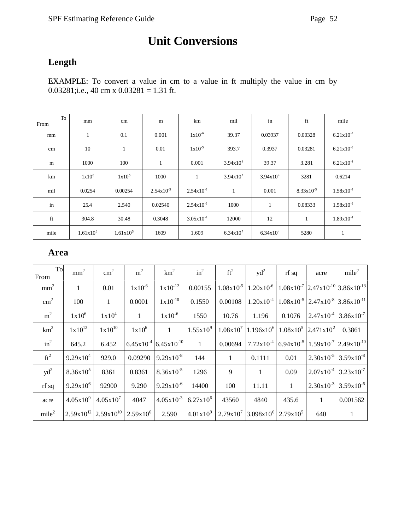### <span id="page-51-0"></span>**Length**

EXAMPLE: To convert a value in  $\frac{cm}{cm}$  to a value in  $\frac{ft}{dt}$  multiply the value in  $\frac{cm}{cm}$  by 0.03281;i.e., 40 cm x 0.03281 = 1.31 ft.

| To<br>From | mm            | cm                | m                     | km                    | mil           | in            | ft                    | mile           |
|------------|---------------|-------------------|-----------------------|-----------------------|---------------|---------------|-----------------------|----------------|
| mm         | $\mathbf{1}$  | 0.1               | 0.001                 | $1x10^{-6}$           | 39.37         | 0.03937       | 0.00328               | $6.21x10^{-7}$ |
| cm         | 10            |                   | 0.01                  | $1x10^{-5}$           | 393.7         | 0.3937        | 0.03281               | $6.21x10^{-6}$ |
| m          | 1000          | 100               | 1                     | 0.001                 | $3.94x10^{4}$ | 39.37         | 3.281                 | $6.21x10-4$    |
| km         | $1x10^6$      | 1x10 <sup>5</sup> | 1000                  | -1                    | $3.94x10^{7}$ | $3.94x10^{4}$ | 3281                  | 0.6214         |
| mil        | 0.0254        | 0.00254           | $2.54 \times 10^{-5}$ | $2.54 \times 10^{-8}$ | 1             | 0.001         | $8.33 \times 10^{-5}$ | $1.58x10^{-8}$ |
| in         | 25.4          | 2.540             | 0.02540               | $2.54x10^{-5}$        | 1000          | 1             | 0.08333               | $1.58x10^{-5}$ |
| ft         | 304.8         | 30.48             | 0.3048                | $3.05x10^{-4}$        | 12000         | 12            | $\mathbf{1}$          | $1.89x10^{-4}$ |
| mile       | $1.61x10^{6}$ | $1.61x10^{5}$     | 1609                  | 1.609                 | $6.34x10^{7}$ | $6.34x10^{4}$ | 5280                  | -1             |

#### **Area**

| To<br>From        | mm <sup>2</sup>                             | $\text{cm}^2$ | m <sup>2</sup> | km <sup>2</sup>        | $in^2$               | $ft^2$         | $yd^2$                | rf sq                 | acre                                 | mile <sup>2</sup>                                           |
|-------------------|---------------------------------------------|---------------|----------------|------------------------|----------------------|----------------|-----------------------|-----------------------|--------------------------------------|-------------------------------------------------------------|
| mm <sup>2</sup>   | 1                                           | 0.01          | $1x10^{-6}$    | $1x10^{-12}$           | 0.00155              | $1.08x10^{-5}$ | $1.20x10^{-6}$        |                       |                                      | $1.08x10^{7}$ 2.47x10 <sup>-10</sup> 3.86x10 <sup>-13</sup> |
| $\text{cm}^2$     | 100                                         | 1             | 0.0001         | $1x10^{-10}$           | 0.1550               | 0.00108        | $1.20 \times 10^{-4}$ | $1.08x10^{-5}$        |                                      | $2.47x10^{-8}$ 3.86x10 <sup>-11</sup>                       |
| m <sup>2</sup>    | $1x10^6$                                    | $1x10^4$      | 1              | $1x10^{-6}$            | 1550                 | 10.76          | 1.196                 | 0.1076                | $2.47 \times 10^{-4}$                | $3.86x10^{-7}$                                              |
| km <sup>2</sup>   | $1x10^{12}$                                 | $1x10^{10}$   | $1x10^6$       | $\mathbf{1}$           | $1.55 \times 10^{9}$ | $1.08x10^{7}$  | $1.196x10^{6}$        | $1.08x10^5$           | $2.471x10^2$                         | 0.3861                                                      |
| $in^2$            | 645.2                                       | 6.452         | $6.45x10^{-4}$ | $6.45 \times 10^{-10}$ | $\mathbf{1}$         | 0.00694        | $7.72 \times 10^{-4}$ | $6.94 \times 10^{-5}$ | $1.59x10^{-7}$                       | $2.49x10^{-10}$                                             |
| $ft^2$            | $9.29x10^4$                                 | 929.0         | 0.09290        | $9.29x10^{-8}$         | 144                  | 1              | 0.1111                | 0.01                  | $2.30x10^{-5}$ 3.59x10 <sup>-8</sup> |                                                             |
| $yd^2$            | $8.36x10^5$                                 | 8361          | 0.8361         | $8.36x10^{-5}$         | 1296                 | 9              | 1                     | 0.09                  | $2.07x10^{-4}$                       | $3.23 \times 10^{-7}$                                       |
| $\mathbf{r}$ sq   | $9.29x10^6$                                 | 92900         | 9.290          | $9.29x10^{-6}$         | 14400                | 100            | 11.11                 | $\mathbf{1}$          | $2.30x10^{-3}$                       | $3.59x10^{-6}$                                              |
| acre              | $4.05x10^{9}$                               | $4.05x10^{7}$ | 4047           | $4.05x10^{-3}$         | $6.27x10^{6}$        | 43560          | 4840                  | 435.6                 | 1                                    | 0.001562                                                    |
| mile <sup>2</sup> | $2.59 \times 10^{12}$ 2.59x10 <sup>10</sup> |               | $2.59x10^{6}$  | 2.590                  | $4.01x10^{9}$        | $2.79x10^{7}$  | $3.098x10^{6}$        | $2.79x10^5$           | 640                                  | 1                                                           |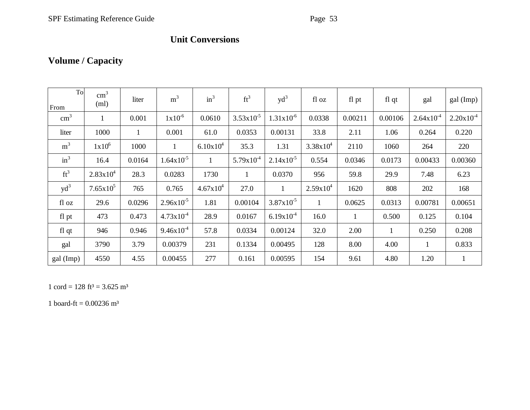### <span id="page-52-0"></span>**Volume / Capacity**

| To<br>From     | $\text{cm}^3$<br>(ml) | liter        | m <sup>3</sup>        | $in^3$               | $ft^3$                | $yd^3$                | fl oz         | $fl$ pt      | $fl$ qt | gal                   | gal (Imp)      |
|----------------|-----------------------|--------------|-----------------------|----------------------|-----------------------|-----------------------|---------------|--------------|---------|-----------------------|----------------|
| $\text{cm}^3$  | $\mathbf{1}$          | 0.001        | $1x10^{-6}$           | 0.0610               | $3.53 \times 10^{-5}$ | $1.31x10^{-6}$        | 0.0338        | 0.00211      | 0.00106 | $2.64 \times 10^{-4}$ | $2.20x10^{-4}$ |
| liter          | 1000                  | $\mathbf{1}$ | 0.001                 | 61.0                 | 0.0353                | 0.00131               | 33.8          | 2.11         | 1.06    | 0.264                 | 0.220          |
| m <sup>3</sup> | $1x10^6$              | 1000         | 1                     | $6.10x10^{4}$        | 35.3                  | 1.31                  | $3.38x10^{4}$ | 2110         | 1060    | 264                   | 220            |
| $in^3$         | 16.4                  | 0.0164       | $1.64 \times 10^{-5}$ | $\mathbf{1}$         | $5.79x10^{-4}$        | $2.14x10^{-5}$        | 0.554         | 0.0346       | 0.0173  | 0.00433               | 0.00360        |
| $ft^3$         | $2.83 \times 10^{4}$  | 28.3         | 0.0283                | 1730                 | 1                     | 0.0370                | 956           | 59.8         | 29.9    | 7.48                  | 6.23           |
| $yd^3$         | $7.65 \times 10^5$    | 765          | 0.765                 | $4.67 \times 10^{4}$ | 27.0                  | $\mathbf{1}$          | $2.59x10^4$   | 1620         | 808     | 202                   | 168            |
| fl oz          | 29.6                  | 0.0296       | $2.96x10^{-5}$        | 1.81                 | 0.00104               | $3.87 \times 10^{-5}$ | $\mathbf{1}$  | 0.0625       | 0.0313  | 0.00781               | 0.00651        |
| $fl$ pt        | 473                   | 0.473        | $4.73 \times 10^{-4}$ | 28.9                 | 0.0167                | $6.19x10^{-4}$        | 16.0          | $\mathbf{1}$ | 0.500   | 0.125                 | 0.104          |
| $fl$ qt        | 946                   | 0.946        | $9.46x10^{-4}$        | 57.8                 | 0.0334                | 0.00124               | 32.0          | 2.00         | 1       | 0.250                 | 0.208          |
| gal            | 3790                  | 3.79         | 0.00379               | 231                  | 0.1334                | 0.00495               | 128           | 8.00         | 4.00    | 1                     | 0.833          |
| gal (Imp)      | 4550                  | 4.55         | 0.00455               | 277                  | 0.161                 | 0.00595               | 154           | 9.61         | 4.80    | 1.20                  | $\mathbf{1}$   |

1 cord =  $128 \text{ ft}^3 = 3.625 \text{ m}^3$ 

1 board-ft =  $0.00236$  m<sup>3</sup>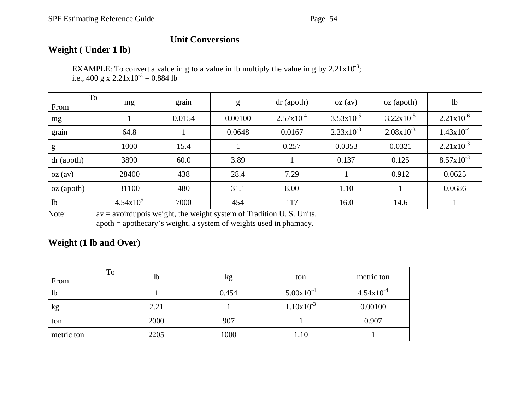#### <span id="page-53-0"></span>**Weight ( Under 1 lb)**

| To<br>From   | mg                 | grain  | g       | $dr$ (apoth)          | oz (av)               | $oz$ (apoth)          | lb                    |
|--------------|--------------------|--------|---------|-----------------------|-----------------------|-----------------------|-----------------------|
| mg           |                    | 0.0154 | 0.00100 | $2.57 \times 10^{-4}$ | $3.53 \times 10^{-5}$ | $3.22 \times 10^{-5}$ | $2.21x10^{-6}$        |
| grain        | 64.8               |        | 0.0648  | 0.0167                | $2.23 \times 10^{-3}$ | $2.08x10^{-3}$        | $1.43x10^{-4}$        |
| g            | 1000               | 15.4   |         | 0.257                 | 0.0353                | 0.0321                | $2.21x10^{-3}$        |
| $dr$ (apoth) | 3890               | 60.0   | 3.89    |                       | 0.137                 | 0.125                 | $8.57 \times 10^{-3}$ |
| oz (av)      | 28400              | 438    | 28.4    | 7.29                  |                       | 0.912                 | 0.0625                |
| oz (apoth)   | 31100              | 480    | 31.1    | 8.00                  | 1.10                  |                       | 0.0686                |
| lb           | $4.54 \times 10^5$ | 7000   | 454     | 117                   | 16.0                  | 14.6                  |                       |

EXAMPLE: To convert a value in g to a value in lb multiply the value in g by  $2.21 \times 10^{-3}$ ; i.e., 400 g x  $2.21 \times 10^{-3} = 0.884$  lb

Note: av = avoirdupois weight, the weight system of Tradition U. S. Units.

apoth = apothecary's weight, a system of weights used in phamacy.

### **Weight (1 lb and Over)**

| To<br>From     | <b>lb</b> | kg    | ton            | metric ton            |
|----------------|-----------|-------|----------------|-----------------------|
| 1 <sub>b</sub> |           | 0.454 | $5.00x10^{-4}$ | $4.54 \times 10^{-4}$ |
| kg             | 2.21      |       | $1.10x10^{-3}$ | 0.00100               |
| ton            | 2000      | 907   |                | 0.907                 |
| metric ton     | 2205      | 1000  | 1.10           |                       |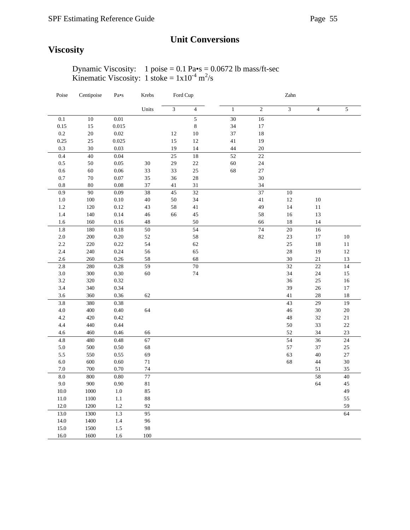### <span id="page-54-0"></span>**Viscosity**

Dynamic Viscosity:  $1 \text{ poise} = 0.1 \text{ Pa} \cdot \text{s} = 0.0672 \text{ lb mass/ft-sec}$ Kinematic Viscosity: 1 stoke =  $1x10^{-4}$  m<sup>2</sup>/s

| Poise            | Centipoise | Pa•s         | Krebs           | Ford Cup       |                  |              | Zahn            |                         |                          |                 |
|------------------|------------|--------------|-----------------|----------------|------------------|--------------|-----------------|-------------------------|--------------------------|-----------------|
|                  |            |              | Units           | $\overline{3}$ | $\overline{4}$   | $\mathbf{1}$ | $\overline{2}$  | $\overline{\mathbf{3}}$ | $\overline{\mathcal{L}}$ | 5               |
| 0.1              | $10\,$     | 0.01         |                 |                | 5                | 30           | 16              |                         |                          |                 |
| 0.15             | 15         | 0.015        |                 |                | $\bf 8$          | 34           | 17              |                         |                          |                 |
| $0.2\,$          | 20         | $0.02\,$     |                 | 12             | 10               | 37           | 18              |                         |                          |                 |
| 0.25             | 25         | 0.025        |                 | 15             | 12               | $41\,$       | 19              |                         |                          |                 |
| 0.3              | 30         | 0.03         |                 | 19             | 14               | 44           | 20              |                         |                          |                 |
| 0.4              | 40         | 0.04         |                 | 25             | $1\,8$           | 52           | 22              |                         |                          |                 |
| 0.5              | 50         | 0.05         | 30              | 29             | 22               | 60           | 24              |                         |                          |                 |
| 0.6              | 60         | 0.06         | 33              | 33             | 25               | 68           | 27              |                         |                          |                 |
| 0.7              | 70         | 0.07         | 35              | 36             | 28               |              | 30              |                         |                          |                 |
| 0.8              | 80         | $0.08\,$     | 37              | 41             | 31               |              | 34              |                         |                          |                 |
| 0.9              | 90         | 0.09         | $\overline{38}$ | 45             | $\overline{32}$  |              | $\overline{37}$ | $\overline{10}$         |                          |                 |
| $1.0\,$          | 100        | $0.10\,$     | $40\,$          | 50             | 34               |              | 41              | $12\,$                  | 10                       |                 |
| 1.2              | 120        | 0.12         | 43              | 58             | 41               |              | 49              | 14                      | $11\,$                   |                 |
| 1.4              | 140        | 0.14         | 46              | 66             | 45               |              | 58              | 16                      | 13                       |                 |
| 1.6              | 160        | $0.16\,$     | 48              |                | 50               |              | 66              | 18                      | 14                       |                 |
| $1.8\,$          | 180        | 0.18         | 50              |                | 54               |              | 74              | 20                      | 16                       |                 |
| $2.0\,$          | 200        | $0.20\,$     | 52              |                | 58               |              | 82              | $23\,$                  | 17                       | $10\,$          |
| 2.2              | 220        | 0.22         | 54              |                | 62               |              |                 | 25                      | 18                       | $1\,1$          |
| 2.4              | 240        | 0.24         | 56              |                | 65               |              |                 | 28                      | 19                       | 12              |
| 2.6              | 260        | 0.26         | 58              |                | 68               |              |                 | 30                      | $21\,$                   | 13              |
| 2.8<br>$3.0\,$   | 280<br>300 | 0.28<br>0.30 | 59<br>60        |                | $70\,$<br>$74\,$ |              |                 | 32<br>34                | 22<br>24                 | 14<br>$15\,$    |
| $3.2\,$          | 320        | 0.32         |                 |                |                  |              |                 | 36                      | 25                       | $16\,$          |
| 3.4              | 340        | 0.34         |                 |                |                  |              |                 | 39                      | 26                       | $17\,$          |
| 3.6              | 360        | 0.36         | 62              |                |                  |              |                 | 41                      | 28                       | 18              |
| $\overline{3.8}$ | 380        | 0.38         |                 |                |                  |              |                 | $\overline{43}$         | 29                       | 19              |
| $4.0\,$          | 400        | $0.40\,$     | 64              |                |                  |              |                 | 46                      | 30                       | $20\,$          |
| 4.2              | 420        | 0.42         |                 |                |                  |              |                 | 48                      | 32                       | $21\,$          |
| 4.4              | 440        | 0.44         |                 |                |                  |              |                 | 50                      | 33                       | $22\,$          |
| 4.6              | 460        | 0.46         | 66              |                |                  |              |                 | 52                      | 34                       | $23\,$          |
| 4.8              | 480        | 0.48         | 67              |                |                  |              |                 | 54                      | 36                       | $\overline{24}$ |
| $5.0\,$          | 500        | $0.50\,$     | 68              |                |                  |              |                 | 57                      | 37                       | $25\,$          |
| 5.5              | 550        | 0.55         | 69              |                |                  |              |                 | 63                      | 40                       | $27\,$          |
| $6.0\,$          | 600        | $0.60\,$     | 71              |                |                  |              |                 | 68                      | 44                       | $30\,$          |
| 7.0              | 700        | 0.70         | 74              |                |                  |              |                 |                         | 51                       | 35              |
| 8.0              | 800        | 0.80         | 77              |                |                  |              |                 |                         | 58                       | 40              |
| $9.0\,$          | 900        | 0.90         | $8\sqrt{1}$     |                |                  |              |                 |                         | 64                       | $45\,$          |
| $10.0\,$         | 1000       | $1.0\,$      | 85              |                |                  |              |                 |                         |                          | 49              |
| 11.0             | 1100       | $1.1\,$      | $\bf 88$        |                |                  |              |                 |                         |                          | 55              |
| 12.0             | 1200       | 1.2          | 92              |                |                  |              |                 |                         |                          | 59              |
| 13.0             | 1300       | $1.3\,$      | 95              |                |                  |              |                 |                         |                          | 64              |
| 14.0             | 1400       | $1.4\,$      | 96              |                |                  |              |                 |                         |                          |                 |
| 15.0             | 1500       | $1.5\,$      | 98              |                |                  |              |                 |                         |                          |                 |
| 16.0             | 1600       | 1.6          | 100             |                |                  |              |                 |                         |                          |                 |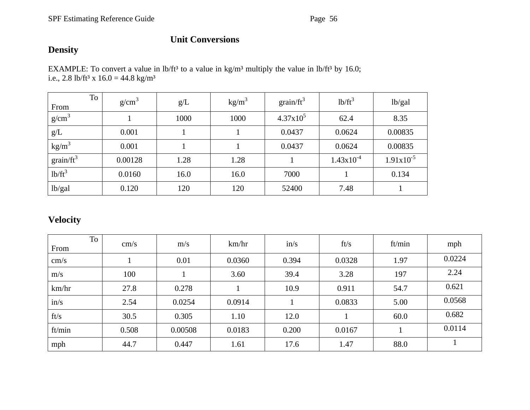### <span id="page-55-0"></span>**Density**

EXAMPLE: To convert a value in lb/ft<sup>3</sup> to a value in kg/m<sup>3</sup> multiply the value in lb/ft<sup>3</sup> by 16.0; i.e., 2.8 lb/ft<sup>3</sup> x 16.0 = 44.8 kg/m<sup>3</sup>

| To<br>From      | $g/cm^3$ | g/L  | $\text{kg/m}^3$ | $grain/ft^3$ | $1b/ft^3$      | $1b$ /gal      |
|-----------------|----------|------|-----------------|--------------|----------------|----------------|
| $g/cm^3$        |          | 1000 | 1000            | $4.37x10^5$  | 62.4           | 8.35           |
| $g/L$           | 0.001    |      |                 | 0.0437       | 0.0624         | 0.00835        |
| $\text{kg/m}^3$ | 0.001    |      |                 | 0.0437       | 0.0624         | 0.00835        |
| $grain/ft^3$    | 0.00128  | 1.28 | 1.28            |              | $1.43x10^{-4}$ | $1.91x10^{-5}$ |
| $lb/ft^3$       | 0.0160   | 16.0 | 16.0            | 7000         |                | 0.134          |
| lb/gal          | 0.120    | 120  | 120             | 52400        | 7.48           |                |

### **Velocity**

| To<br>From | cm/s  | m/s     | km/hr  | in/s  | ft/s   | ft/min | mph    |
|------------|-------|---------|--------|-------|--------|--------|--------|
| cm/s       |       | 0.01    | 0.0360 | 0.394 | 0.0328 | 1.97   | 0.0224 |
| m/s        | 100   |         | 3.60   | 39.4  | 3.28   | 197    | 2.24   |
| km/hr      | 27.8  | 0.278   |        | 10.9  | 0.911  | 54.7   | 0.621  |
| in/s       | 2.54  | 0.0254  | 0.0914 |       | 0.0833 | 5.00   | 0.0568 |
| ft/s       | 30.5  | 0.305   | 1.10   | 12.0  |        | 60.0   | 0.682  |
| ft/min     | 0.508 | 0.00508 | 0.0183 | 0.200 | 0.0167 |        | 0.0114 |
| mph        | 44.7  | 0.447   | 1.61   | 17.6  | 1.47   | 88.0   |        |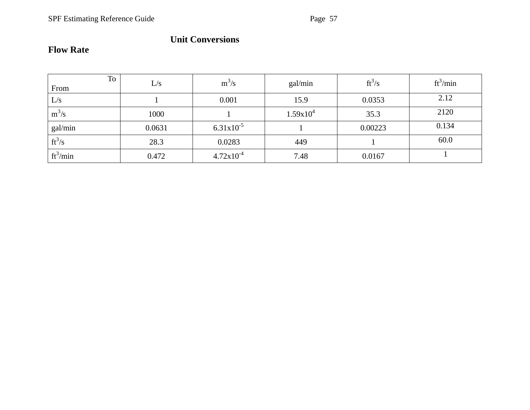### <span id="page-56-0"></span>**Flow Rate**

| To<br>From | L/s    | $m^3/s$               | gal/min       | $ft^3/s$ | $ft^3/min$ |
|------------|--------|-----------------------|---------------|----------|------------|
| L/s        |        | 0.001                 | 15.9          | 0.0353   | 2.12       |
| $m^3/s$    | 1000   |                       | $1.59x10^{4}$ | 35.3     | 2120       |
| gal/min    | 0.0631 | $6.31x10^{-5}$        |               | 0.00223  | 0.134      |
| $ft^3/s$   | 28.3   | 0.0283                | 449           |          | 60.0       |
| $ft^3/min$ | 0.472  | $4.72 \times 10^{-4}$ | 7.48          | 0.0167   |            |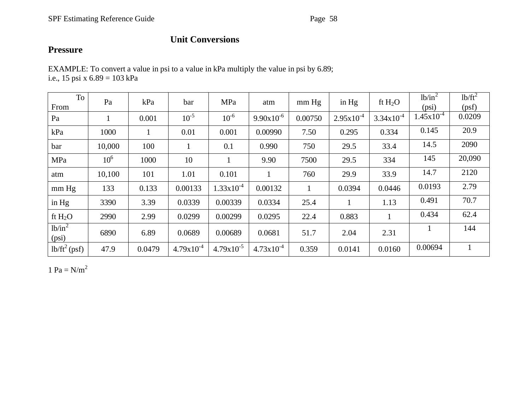### <span id="page-57-0"></span>**Pressure**

EXAMPLE: To convert a value in psi to a value in kPa multiply the value in psi by 6.89; i.e., 15 psi x 6.89 = 103 kPa

| To<br>From         | Pa              | kPa    | bar            | MPa                   | atm                   | mm Hg        | in $Hg$               | ft $H_2O$             | $lb/in^2$<br>(psi) | $lb/ft^2$<br>(psf) |
|--------------------|-----------------|--------|----------------|-----------------------|-----------------------|--------------|-----------------------|-----------------------|--------------------|--------------------|
| Pa                 |                 | 0.001  | $10^{-5}$      | $10^{-6}$             | $9.90x10^{-6}$        | 0.00750      | $2.95 \times 10^{-4}$ | $3.34 \times 10^{-4}$ | $1.45x10^{-4}$     | 0.0209             |
| kPa                | 1000            |        | 0.01           | 0.001                 | 0.00990               | 7.50         | 0.295                 | 0.334                 | 0.145              | 20.9               |
| bar                | 10,000          | 100    |                | 0.1                   | 0.990                 | 750          | 29.5                  | 33.4                  | 14.5               | 2090               |
| MPa                | 10 <sup>6</sup> | 1000   | 10             |                       | 9.90                  | 7500         | 29.5                  | 334                   | 145                | 20,090             |
| atm                | 10,100          | 101    | 1.01           | 0.101                 | 1                     | 760          | 29.9                  | 33.9                  | 14.7               | 2120               |
| mm Hg              | 133             | 0.133  | 0.00133        | $1.33 \times 10^{-4}$ | 0.00132               | $\mathbf{1}$ | 0.0394                | 0.0446                | 0.0193             | 2.79               |
| in $Hg$            | 3390            | 3.39   | 0.0339         | 0.00339               | 0.0334                | 25.4         |                       | 1.13                  | 0.491              | 70.7               |
| ft $H_2O$          | 2990            | 2.99   | 0.0299         | 0.00299               | 0.0295                | 22.4         | 0.883                 |                       | 0.434              | 62.4               |
| $lb/in^2$<br>(psi) | 6890            | 6.89   | 0.0689         | 0.00689               | 0.0681                | 51.7         | 2.04                  | 2.31                  |                    | 144                |
| $lb/ft^2$ (psf)    | 47.9            | 0.0479 | $4.79x10^{-4}$ | $4.79x10^{-5}$        | $4.73 \times 10^{-4}$ | 0.359        | 0.0141                | 0.0160                | 0.00694            | 1                  |

1 Pa =  $N/m^2$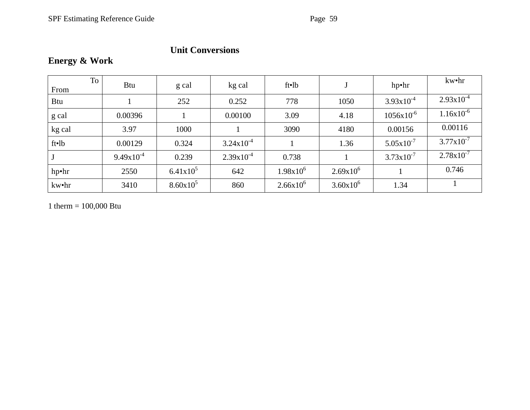### <span id="page-58-0"></span>**Energy & Work**

| To<br>From         | <b>Btu</b>     | g cal       | kg cal                | ft·lb         |               | hp <sup>•</sup> hr    | kw•hr                 |
|--------------------|----------------|-------------|-----------------------|---------------|---------------|-----------------------|-----------------------|
| <b>Btu</b>         |                | 252         | 0.252                 | 778           | 1050          | $3.93x10^{-4}$        | $2.93x10^{-4}$        |
| g cal              | 0.00396        |             | 0.00100               | 3.09          | 4.18          | $1056x10^{-6}$        | $1.16x10^{-6}$        |
| kg cal             | 3.97           | 1000        |                       | 3090          | 4180          | 0.00156               | 0.00116               |
| ft·lb              | 0.00129        | 0.324       | $3.24 \times 10^{-4}$ |               | 1.36          | $5.05x10^{-7}$        | $3.77 \times 10^{-7}$ |
| $\mathbf{J}$       | $9.49x10^{-4}$ | 0.239       | $2.39x10^{-4}$        | 0.738         |               | $3.73 \times 10^{-7}$ | $2.78x10^{-7}$        |
| hp <sup>•</sup> hr | 2550           | $6.41x10^5$ | 642                   | $1.98x10^{6}$ | $2.69x10^{6}$ |                       | 0.746                 |
| kw•hr              | 3410           | $8.60x10^5$ | 860                   | $2.66x10^{6}$ | $3.60x10^{6}$ | 1.34                  |                       |

1 therm = 100,000 Btu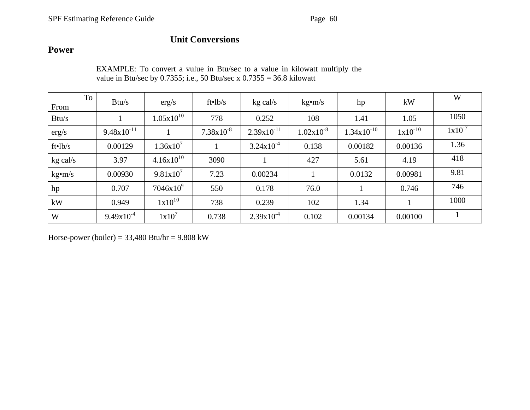#### <span id="page-59-0"></span>**Power**

EXAMPLE: To convert a vulue in Btu/sec to a value in kilowatt multiply the value in Btu/sec by 0.7355; i.e., 50 Btu/sec x 0.7355 = 36.8 kilowatt

| <b>To</b><br>From    | Btu/s                  | erg/s          | ft·lb/s               | $kg$ cal/s            | $kg \cdot m/s$ | hp                     | kW           | W           |
|----------------------|------------------------|----------------|-----------------------|-----------------------|----------------|------------------------|--------------|-------------|
| Btu/s                |                        | $1.05x10^{10}$ | 778                   | 0.252                 | 108            | 1.41                   | 1.05         | 1050        |
| erg/s                | $9.48 \times 10^{-11}$ |                | $7.38 \times 10^{-8}$ | $2.39x10^{-11}$       | $1.02x10^{-8}$ | $1.34 \times 10^{-10}$ | $1x10^{-10}$ | $1x10^{-7}$ |
| ft·l <sub>b</sub> /s | 0.00129                | 1.36x10'       |                       | $3.24 \times 10^{-4}$ | 0.138          | 0.00182                | 0.00136      | 1.36        |
| kg cal/s             | 3.97                   | $4.16x10^{10}$ | 3090                  |                       | 427            | 5.61                   | 4.19         | 418         |
| $kg \cdot m/s$       | 0.00930                | $9.81x10^{7}$  | 7.23                  | 0.00234               |                | 0.0132                 | 0.00981      | 9.81        |
| hp                   | 0.707                  | $7046x10^9$    | 550                   | 0.178                 | 76.0           |                        | 0.746        | 746         |
| kW                   | 0.949                  | $1x10^{10}$    | 738                   | 0.239                 | 102            | 1.34                   |              | 1000        |
| W                    | $9.49x10^{-4}$         | $1x10^7$       | 0.738                 | $2.39x10^{-4}$        | 0.102          | 0.00134                | 0.00100      |             |

Horse-power (boiler) =  $33,480$  Btu/hr =  $9.808$  kW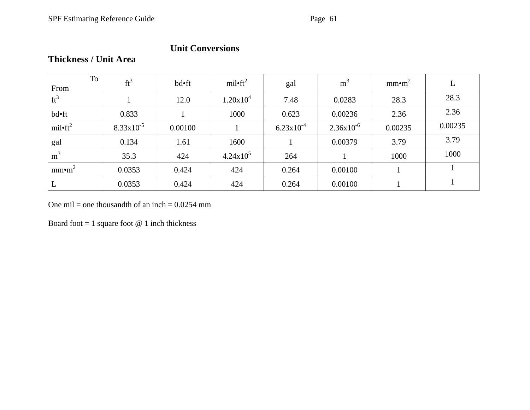### <span id="page-60-0"></span>**Thickness / Unit Area**

| To<br>From                                  | $ft^3$                | bd•ft   | $mil$ of $t^2$ | gal                   | m <sup>3</sup> | $mm$ $\cdot m$ | L       |
|---------------------------------------------|-----------------------|---------|----------------|-----------------------|----------------|----------------|---------|
| $ft^3$                                      |                       | 12.0    | $1.20x10^4$    | 7.48                  | 0.0283         | 28.3           | 28.3    |
| bd•ft                                       | 0.833                 |         | 1000           | 0.623                 | 0.00236        | 2.36           | 2.36    |
| $mil$ <b>oft</b> <sup>2</sup>               | $8.33 \times 10^{-5}$ | 0.00100 |                | $6.23 \times 10^{-4}$ | $2.36x10^{-6}$ | 0.00235        | 0.00235 |
| gal                                         | 0.134                 | 1.61    | 1600           |                       | 0.00379        | 3.79           | 3.79    |
| m <sup>3</sup>                              | 35.3                  | 424     | $4.24x10^5$    | 264                   |                | 1000           | 1000    |
| $mm$ $\cdot m$ <sup><math>\sim</math></sup> | 0.0353                | 0.424   | 424            | 0.264                 | 0.00100        |                |         |
| L                                           | 0.0353                | 0.424   | 424            | 0.264                 | 0.00100        |                |         |

One mil = one thousandth of an inch =  $0.0254$  mm

Board foot = 1 square foot  $@$  1 inch thickness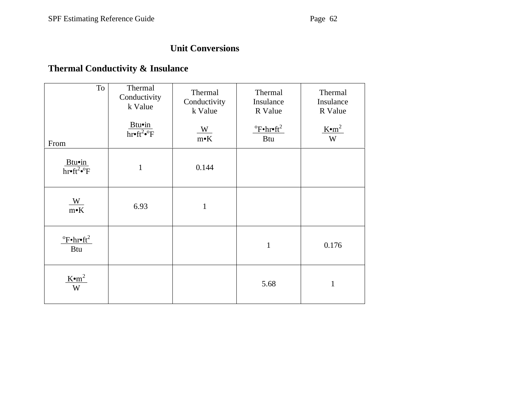### <span id="page-61-0"></span>**Thermal Conductivity & Insulance**

| To<br>From                                      | Thermal<br>Conductivity<br>k Value<br>$\frac{Btu\bullet in}{hr\bullet ft^2\bullet^0F}$ | Thermal<br>Conductivity<br>k Value<br>$W_{-}$<br>$m \cdot K$ | Thermal<br>Insulance<br>R Value<br>${}^{\circ}$ F•hr•ft <sup>2</sup><br><b>Btu</b> | Thermal<br>Insulance<br>R Value<br>K <sup>•</sup> m <sup>2</sup><br>W |
|-------------------------------------------------|----------------------------------------------------------------------------------------|--------------------------------------------------------------|------------------------------------------------------------------------------------|-----------------------------------------------------------------------|
| Btu•in<br>$\overline{\text{hreft}^2\bullet^0F}$ | $\mathbf{1}$                                                                           | 0.144                                                        |                                                                                    |                                                                       |
| $\frac{W}{m \cdot K}$                           | 6.93                                                                                   | $\mathbf{1}$                                                 |                                                                                    |                                                                       |
| ${}^{\circ}$ F•hr•ft <sup>2</sup><br><b>Btu</b> |                                                                                        |                                                              | $\mathbf{1}$                                                                       | 0.176                                                                 |
| $K \bullet m^2$<br>W                            |                                                                                        |                                                              | 5.68                                                                               | $\mathbf{1}$                                                          |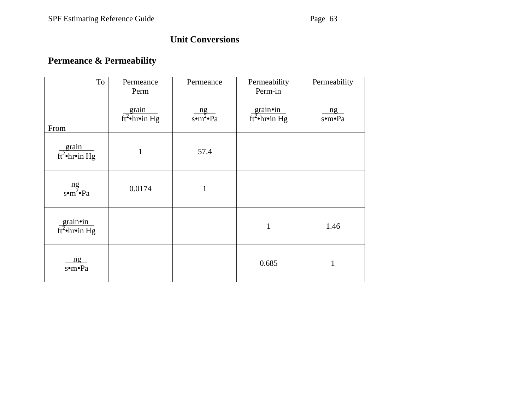### <span id="page-62-0"></span>**Permeance & Permeability**

| <b>To</b>                                                                       | Permeance                                     | Permeance                       | Permeability                                             | Permeability                        |
|---------------------------------------------------------------------------------|-----------------------------------------------|---------------------------------|----------------------------------------------------------|-------------------------------------|
|                                                                                 | Perm                                          |                                 | Perm-in                                                  |                                     |
|                                                                                 | $\frac{grain}{ft^2 \bullet hr \bullet in Hg}$ | $rac{ng}{s \cdot m^2 \cdot Pa}$ | $\frac{grain \bullet in}{ft^2 \bullet hr \bullet in Hg}$ | $\frac{ng}{s \bullet m \bullet Pa}$ |
| From                                                                            |                                               |                                 |                                                          |                                     |
| $\frac{\text{grain}}{\text{ft}^2 \cdot \text{hr} \cdot \text{in Hg}}$           | $\mathbf{1}$                                  | 57.4                            |                                                          |                                     |
| $rac{ng}{s \cdot m^2 \cdot Pa}$                                                 | 0.0174                                        | 1                               |                                                          |                                     |
| $rac{\text{grain}\cdot\text{in}}{\text{ft}^2 \cdot \text{hr}\cdot\text{in Hg}}$ |                                               |                                 | 1                                                        | 1.46                                |
| ng<br>s•m•Pa                                                                    |                                               |                                 | 0.685                                                    | $\mathbf{1}$                        |